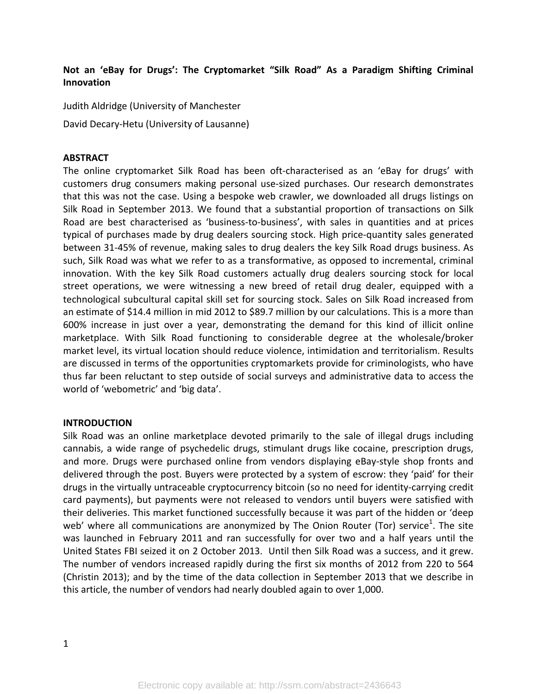# Not an 'eBay for Drugs': The Cryptomarket "Silk Road" As a Paradigm Shifting Criminal **Innovation**

Judith Aldridge (University of Manchester

David Decary-Hetu (University of Lausanne)

#### **ABSTRACT**

The online cryptomarket Silk Road has been oft-characterised as an 'eBay for drugs' with customers drug consumers making personal use-sized purchases. Our research demonstrates that this was not the case. Using a bespoke web crawler, we downloaded all drugs listings on Silk Road in September 2013. We found that a substantial proportion of transactions on Silk Road are best characterised as 'business-to-business', with sales in quantities and at prices typical of purchases made by drug dealers sourcing stock. High price-quantity sales generated between 31-45% of revenue, making sales to drug dealers the key Silk Road drugs business. As such, Silk Road was what we refer to as a transformative, as opposed to incremental, criminal innovation. With the key Silk Road customers actually drug dealers sourcing stock for local street operations, we were witnessing a new breed of retail drug dealer, equipped with a technological subcultural capital skill set for sourcing stock. Sales on Silk Road increased from an estimate of \$14.4 million in mid 2012 to \$89.7 million by our calculations. This is a more than 600% increase in just over a year, demonstrating the demand for this kind of illicit online marketplace. With Silk Road functioning to considerable degree at the wholesale/broker market level, its virtual location should reduce violence, intimidation and territorialism. Results are discussed in terms of the opportunities cryptomarkets provide for criminologists, who have thus far been reluctant to step outside of social surveys and administrative data to access the world of 'webometric' and 'big data'.

#### **INTRODUCTION**

Silk Road was an online marketplace devoted primarily to the sale of illegal drugs including cannabis, a wide range of psychedelic drugs, stimulant drugs like cocaine, prescription drugs, and more. Drugs were purchased online from vendors displaying eBay-style shop fronts and delivered through the post. Buyers were protected by a system of escrow: they 'paid' for their drugs in the virtually untraceable cryptocurrency bitcoin (so no need for identity-carrying credit card payments), but payments were not released to vendors until buyers were satisfied with their deliveries. This market functioned successfully because it was part of the hidden or 'deep web' where all communications are anonymized by The Onion Router (Tor) service<sup>1</sup>. The site was launched in February 2011 and ran successfully for over two and a half years until the United States FBI seized it on 2 October 2013. Until then Silk Road was a success, and it grew. The number of vendors increased rapidly during the first six months of 2012 from 220 to 564 (Christin 2013); and by the time of the data collection in September 2013 that we describe in this article, the number of vendors had nearly doubled again to over 1,000.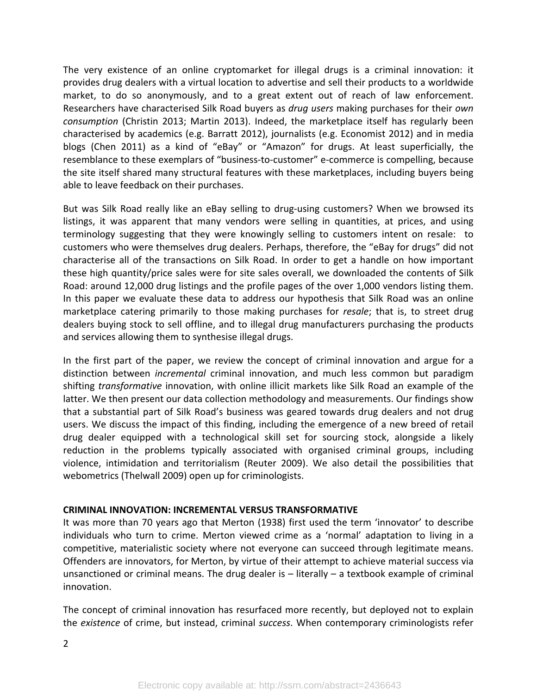The very existence of an online cryptomarket for illegal drugs is a criminal innovation: it provides drug dealers with a virtual location to advertise and sell their products to a worldwide market, to do so anonymously, and to a great extent out of reach of law enforcement. Researchers have characterised Silk Road buyers as *drug users* making purchases for their *own consumption* (Christin 2013; Martin 2013). Indeed, the marketplace itself has regularly been characterised by academics (e.g. Barratt 2012), journalists (e.g. Economist 2012) and in media blogs (Chen 2011) as a kind of "eBay" or "Amazon" for drugs. At least superficially, the resemblance to these exemplars of "business-to-customer" e-commerce is compelling, because the site itself shared many structural features with these marketplaces, including buyers being able to leave feedback on their purchases.

But was Silk Road really like an eBay selling to drug-using customers? When we browsed its listings, it was apparent that many vendors were selling in quantities, at prices, and using terminology suggesting that they were knowingly selling to customers intent on resale: to customers who were themselves drug dealers. Perhaps, therefore, the "eBay for drugs" did not characterise all of the transactions on Silk Road. In order to get a handle on how important these high quantity/price sales were for site sales overall, we downloaded the contents of Silk Road: around 12,000 drug listings and the profile pages of the over 1,000 vendors listing them. In this paper we evaluate these data to address our hypothesis that Silk Road was an online marketplace catering primarily to those making purchases for *resale*; that is, to street drug dealers buying stock to sell offline, and to illegal drug manufacturers purchasing the products and services allowing them to synthesise illegal drugs.

In the first part of the paper, we review the concept of criminal innovation and argue for a distinction between *incremental* criminal innovation, and much less common but paradigm shifting *transformative* innovation, with online illicit markets like Silk Road an example of the latter. We then present our data collection methodology and measurements. Our findings show that a substantial part of Silk Road's business was geared towards drug dealers and not drug users. We discuss the impact of this finding, including the emergence of a new breed of retail drug dealer equipped with a technological skill set for sourcing stock, alongside a likely reduction in the problems typically associated with organised criminal groups, including violence, intimidation and territorialism (Reuter 2009). We also detail the possibilities that webometrics (Thelwall 2009) open up for criminologists.

### **CRIMINAL INNOVATION: INCREMENTAL VERSUS TRANSFORMATIVE**

It was more than 70 years ago that Merton (1938) first used the term 'innovator' to describe individuals who turn to crime. Merton viewed crime as a 'normal' adaptation to living in a competitive, materialistic society where not everyone can succeed through legitimate means. Offenders are innovators, for Merton, by virtue of their attempt to achieve material success via unsanctioned or criminal means. The drug dealer is  $-$  literally  $-$  a textbook example of criminal innovation. 

The concept of criminal innovation has resurfaced more recently, but deployed not to explain the *existence* of crime, but instead, criminal *success*. When contemporary criminologists refer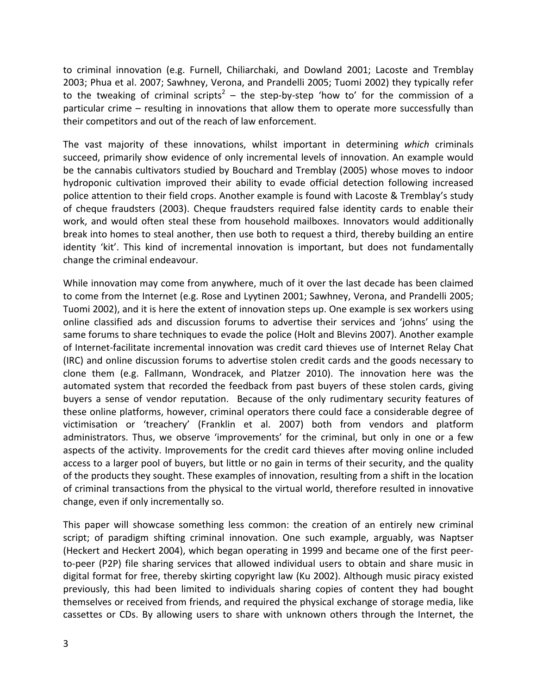to criminal innovation (e.g. Furnell, Chiliarchaki, and Dowland 2001; Lacoste and Tremblay 2003; Phua et al. 2007; Sawhney, Verona, and Prandelli 2005; Tuomi 2002) they typically refer to the tweaking of criminal scripts<sup>2</sup> – the step-by-step 'how to' for the commission of a particular crime – resulting in innovations that allow them to operate more successfully than their competitors and out of the reach of law enforcement.

The vast majority of these innovations, whilst important in determining which criminals succeed, primarily show evidence of only incremental levels of innovation. An example would be the cannabis cultivators studied by Bouchard and Tremblay (2005) whose moves to indoor hydroponic cultivation improved their ability to evade official detection following increased police attention to their field crops. Another example is found with Lacoste & Tremblay's study of cheque fraudsters (2003). Cheque fraudsters required false identity cards to enable their work, and would often steal these from household mailboxes. Innovators would additionally break into homes to steal another, then use both to request a third, thereby building an entire identity 'kit'. This kind of incremental innovation is important, but does not fundamentally change the criminal endeavour.

While innovation may come from anywhere, much of it over the last decade has been claimed to come from the Internet (e.g. Rose and Lyytinen 2001; Sawhney, Verona, and Prandelli 2005; Tuomi 2002), and it is here the extent of innovation steps up. One example is sex workers using online classified ads and discussion forums to advertise their services and 'johns' using the same forums to share techniques to evade the police (Holt and Blevins 2007). Another example of Internet-facilitate incremental innovation was credit card thieves use of Internet Relay Chat (IRC) and online discussion forums to advertise stolen credit cards and the goods necessary to clone them (e.g. Fallmann, Wondracek, and Platzer 2010). The innovation here was the automated system that recorded the feedback from past buyers of these stolen cards, giving buyers a sense of vendor reputation. Because of the only rudimentary security features of these online platforms, however, criminal operators there could face a considerable degree of victimisation or 'treachery' (Franklin et al. 2007) both from vendors and platform administrators. Thus, we observe 'improvements' for the criminal, but only in one or a few aspects of the activity. Improvements for the credit card thieves after moving online included access to a larger pool of buyers, but little or no gain in terms of their security, and the quality of the products they sought. These examples of innovation, resulting from a shift in the location of criminal transactions from the physical to the virtual world, therefore resulted in innovative change, even if only incrementally so.

This paper will showcase something less common: the creation of an entirely new criminal script; of paradigm shifting criminal innovation. One such example, arguably, was Naptser (Heckert and Heckert 2004), which began operating in 1999 and became one of the first peerto-peer (P2P) file sharing services that allowed individual users to obtain and share music in digital format for free, thereby skirting copyright law (Ku 2002). Although music piracy existed previously, this had been limited to individuals sharing copies of content they had bought themselves or received from friends, and required the physical exchange of storage media, like cassettes or CDs. By allowing users to share with unknown others through the Internet, the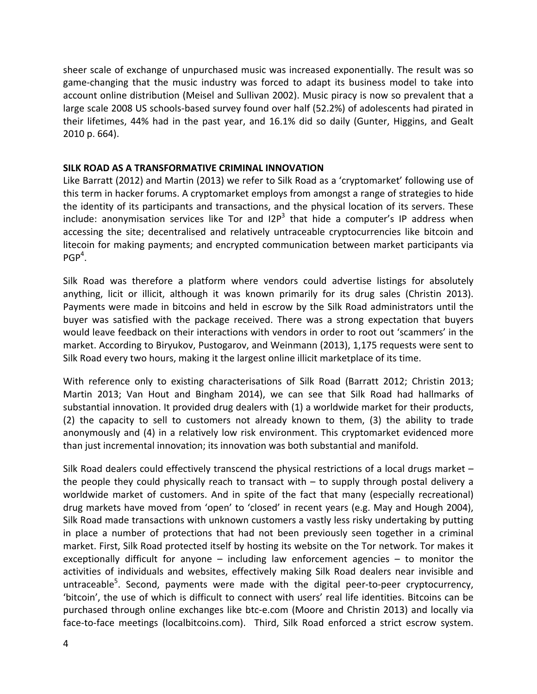sheer scale of exchange of unpurchased music was increased exponentially. The result was so game-changing that the music industry was forced to adapt its business model to take into account online distribution (Meisel and Sullivan 2002). Music piracy is now so prevalent that a large scale 2008 US schools-based survey found over half (52.2%) of adolescents had pirated in their lifetimes, 44% had in the past year, and 16.1% did so daily (Gunter, Higgins, and Gealt 2010 p. 664).

#### **SILK ROAD AS A TRANSFORMATIVE CRIMINAL INNOVATION**

Like Barratt (2012) and Martin (2013) we refer to Silk Road as a 'cryptomarket' following use of this term in hacker forums. A cryptomarket employs from amongst a range of strategies to hide the identity of its participants and transactions, and the physical location of its servers. These include: anonymisation services like Tor and  $12P<sup>3</sup>$  that hide a computer's IP address when accessing the site; decentralised and relatively untraceable cryptocurrencies like bitcoin and litecoin for making payments; and encrypted communication between market participants via  $PGP<sup>4</sup>$ .

Silk Road was therefore a platform where vendors could advertise listings for absolutely anything, licit or illicit, although it was known primarily for its drug sales (Christin 2013). Payments were made in bitcoins and held in escrow by the Silk Road administrators until the buyer was satisfied with the package received. There was a strong expectation that buyers would leave feedback on their interactions with vendors in order to root out 'scammers' in the market. According to Biryukov, Pustogarov, and Weinmann (2013), 1,175 requests were sent to Silk Road every two hours, making it the largest online illicit marketplace of its time.

With reference only to existing characterisations of Silk Road (Barratt 2012; Christin 2013; Martin 2013; Van Hout and Bingham 2014), we can see that Silk Road had hallmarks of substantial innovation. It provided drug dealers with (1) a worldwide market for their products, (2) the capacity to sell to customers not already known to them,  $(3)$  the ability to trade anonymously and (4) in a relatively low risk environment. This cryptomarket evidenced more than just incremental innovation; its innovation was both substantial and manifold.

Silk Road dealers could effectively transcend the physical restrictions of a local drugs market  $$ the people they could physically reach to transact with  $-$  to supply through postal delivery a worldwide market of customers. And in spite of the fact that many (especially recreational) drug markets have moved from 'open' to 'closed' in recent years (e.g. May and Hough 2004), Silk Road made transactions with unknown customers a vastly less risky undertaking by putting in place a number of protections that had not been previously seen together in a criminal market. First, Silk Road protected itself by hosting its website on the Tor network. Tor makes it exceptionally difficult for anyone  $-$  including law enforcement agencies  $-$  to monitor the activities of individuals and websites, effectively making Silk Road dealers near invisible and untraceable<sup>5</sup>. Second, payments were made with the digital peer-to-peer cryptocurrency, 'bitcoin', the use of which is difficult to connect with users' real life identities. Bitcoins can be purchased through online exchanges like btc-e.com (Moore and Christin 2013) and locally via face-to-face meetings (localbitcoins.com). Third, Silk Road enforced a strict escrow system.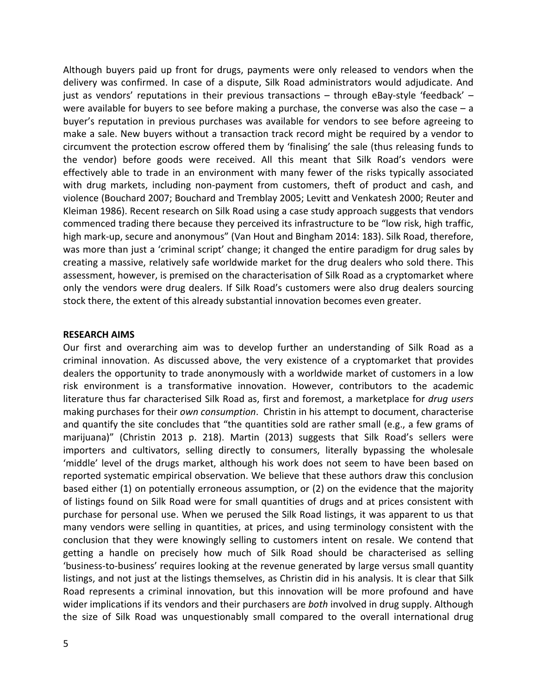Although buyers paid up front for drugs, payments were only released to vendors when the delivery was confirmed. In case of a dispute, Silk Road administrators would adjudicate. And just as vendors' reputations in their previous transactions  $-$  through eBay-style 'feedback'  $$ were available for buyers to see before making a purchase, the converse was also the case  $- a$ buyer's reputation in previous purchases was available for vendors to see before agreeing to make a sale. New buyers without a transaction track record might be required by a vendor to circumvent the protection escrow offered them by 'finalising' the sale (thus releasing funds to the vendor) before goods were received. All this meant that Silk Road's vendors were effectively able to trade in an environment with many fewer of the risks typically associated with drug markets, including non-payment from customers, theft of product and cash, and violence (Bouchard 2007; Bouchard and Tremblay 2005; Levitt and Venkatesh 2000; Reuter and Kleiman 1986). Recent research on Silk Road using a case study approach suggests that vendors commenced trading there because they perceived its infrastructure to be "low risk, high traffic, high mark-up, secure and anonymous" (Van Hout and Bingham 2014: 183). Silk Road, therefore, was more than just a 'criminal script' change; it changed the entire paradigm for drug sales by creating a massive, relatively safe worldwide market for the drug dealers who sold there. This assessment, however, is premised on the characterisation of Silk Road as a cryptomarket where only the vendors were drug dealers. If Silk Road's customers were also drug dealers sourcing stock there, the extent of this already substantial innovation becomes even greater.

#### **RESEARCH AIMS**

Our first and overarching aim was to develop further an understanding of Silk Road as a criminal innovation. As discussed above, the very existence of a cryptomarket that provides dealers the opportunity to trade anonymously with a worldwide market of customers in a low risk environment is a transformative innovation. However, contributors to the academic literature thus far characterised Silk Road as, first and foremost, a marketplace for *drug users* making purchases for their *own consumption*. Christin in his attempt to document, characterise and quantify the site concludes that "the quantities sold are rather small (e.g., a few grams of marijuana)" (Christin 2013 p. 218). Martin (2013) suggests that Silk Road's sellers were importers and cultivators, selling directly to consumers, literally bypassing the wholesale 'middle' level of the drugs market, although his work does not seem to have been based on reported systematic empirical observation. We believe that these authors draw this conclusion based either  $(1)$  on potentially erroneous assumption, or  $(2)$  on the evidence that the majority of listings found on Silk Road were for small quantities of drugs and at prices consistent with purchase for personal use. When we perused the Silk Road listings, it was apparent to us that many vendors were selling in quantities, at prices, and using terminology consistent with the conclusion that they were knowingly selling to customers intent on resale. We contend that getting a handle on precisely how much of Silk Road should be characterised as selling 'business-to-business' requires looking at the revenue generated by large versus small quantity listings, and not just at the listings themselves, as Christin did in his analysis. It is clear that Silk Road represents a criminal innovation, but this innovation will be more profound and have wider implications if its vendors and their purchasers are *both* involved in drug supply. Although the size of Silk Road was unquestionably small compared to the overall international drug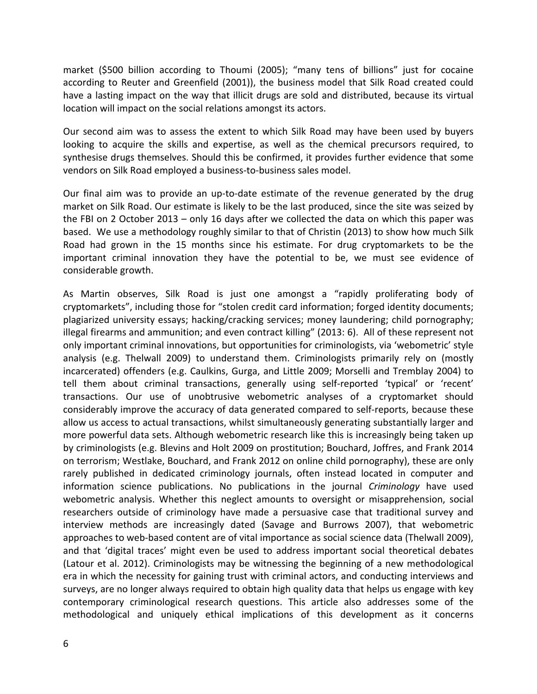market (\$500 billion according to Thoumi (2005); "many tens of billions" just for cocaine according to Reuter and Greenfield (2001)), the business model that Silk Road created could have a lasting impact on the way that illicit drugs are sold and distributed, because its virtual location will impact on the social relations amongst its actors.

Our second aim was to assess the extent to which Silk Road may have been used by buyers looking to acquire the skills and expertise, as well as the chemical precursors required, to synthesise drugs themselves. Should this be confirmed, it provides further evidence that some vendors on Silk Road employed a business-to-business sales model.

Our final aim was to provide an up-to-date estimate of the revenue generated by the drug market on Silk Road. Our estimate is likely to be the last produced, since the site was seized by the FBI on 2 October 2013 – only 16 days after we collected the data on which this paper was based. We use a methodology roughly similar to that of Christin (2013) to show how much Silk Road had grown in the 15 months since his estimate. For drug cryptomarkets to be the important criminal innovation they have the potential to be, we must see evidence of considerable growth.

As Martin observes, Silk Road is just one amongst a "rapidly proliferating body of cryptomarkets", including those for "stolen credit card information; forged identity documents; plagiarized university essays; hacking/cracking services; money laundering; child pornography; illegal firearms and ammunition; and even contract killing" (2013: 6). All of these represent not only important criminal innovations, but opportunities for criminologists, via 'webometric' style analysis (e.g. Thelwall 2009) to understand them. Criminologists primarily rely on (mostly incarcerated) offenders (e.g. Caulkins, Gurga, and Little 2009; Morselli and Tremblay 2004) to tell them about criminal transactions, generally using self-reported 'typical' or 'recent' transactions. Our use of unobtrusive webometric analyses of a cryptomarket should considerably improve the accuracy of data generated compared to self-reports, because these allow us access to actual transactions, whilst simultaneously generating substantially larger and more powerful data sets. Although webometric research like this is increasingly being taken up by criminologists (e.g. Blevins and Holt 2009 on prostitution; Bouchard, Joffres, and Frank 2014 on terrorism; Westlake, Bouchard, and Frank 2012 on online child pornography), these are only rarely published in dedicated criminology journals, often instead located in computer and information science publications. No publications in the journal *Criminology* have used webometric analysis. Whether this neglect amounts to oversight or misapprehension, social researchers outside of criminology have made a persuasive case that traditional survey and interview methods are increasingly dated (Savage and Burrows 2007), that webometric approaches to web-based content are of vital importance as social science data (Thelwall 2009), and that 'digital traces' might even be used to address important social theoretical debates (Latour et al. 2012). Criminologists may be witnessing the beginning of a new methodological era in which the necessity for gaining trust with criminal actors, and conducting interviews and surveys, are no longer always required to obtain high quality data that helps us engage with key contemporary criminological research questions. This article also addresses some of the methodological and uniquely ethical implications of this development as it concerns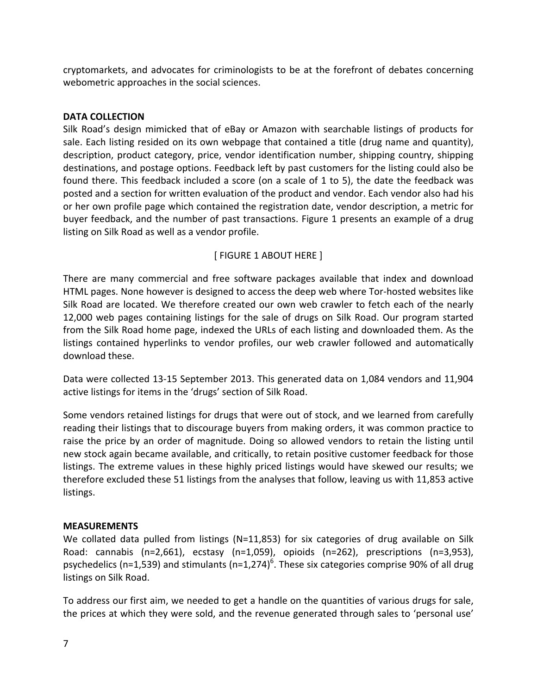cryptomarkets, and advocates for criminologists to be at the forefront of debates concerning webometric approaches in the social sciences.

## **DATA COLLECTION**

Silk Road's design mimicked that of eBay or Amazon with searchable listings of products for sale. Each listing resided on its own webpage that contained a title (drug name and quantity), description, product category, price, vendor identification number, shipping country, shipping destinations, and postage options. Feedback left by past customers for the listing could also be found there. This feedback included a score (on a scale of 1 to 5), the date the feedback was posted and a section for written evaluation of the product and vendor. Each vendor also had his or her own profile page which contained the registration date, vendor description, a metric for buyer feedback, and the number of past transactions. Figure 1 presents an example of a drug listing on Silk Road as well as a vendor profile.

# [ FIGURE 1 ABOUT HERE ]

There are many commercial and free software packages available that index and download HTML pages. None however is designed to access the deep web where Tor-hosted websites like Silk Road are located. We therefore created our own web crawler to fetch each of the nearly 12,000 web pages containing listings for the sale of drugs on Silk Road. Our program started from the Silk Road home page, indexed the URLs of each listing and downloaded them. As the listings contained hyperlinks to vendor profiles, our web crawler followed and automatically download these.

Data were collected 13-15 September 2013. This generated data on 1,084 vendors and 11,904 active listings for items in the 'drugs' section of Silk Road.

Some vendors retained listings for drugs that were out of stock, and we learned from carefully reading their listings that to discourage buyers from making orders, it was common practice to raise the price by an order of magnitude. Doing so allowed vendors to retain the listing until new stock again became available, and critically, to retain positive customer feedback for those listings. The extreme values in these highly priced listings would have skewed our results; we therefore excluded these 51 listings from the analyses that follow, leaving us with 11,853 active listings.

### **MEASUREMENTS**

We collated data pulled from listings (N=11,853) for six categories of drug available on Silk Road: cannabis  $(n=2,661)$ , ecstasy  $(n=1,059)$ , opioids  $(n=262)$ , prescriptions  $(n=3,953)$ , psychedelics (n=1,539) and stimulants (n=1,274)<sup>6</sup>. These six categories comprise 90% of all drug listings on Silk Road.

To address our first aim, we needed to get a handle on the quantities of various drugs for sale, the prices at which they were sold, and the revenue generated through sales to 'personal use'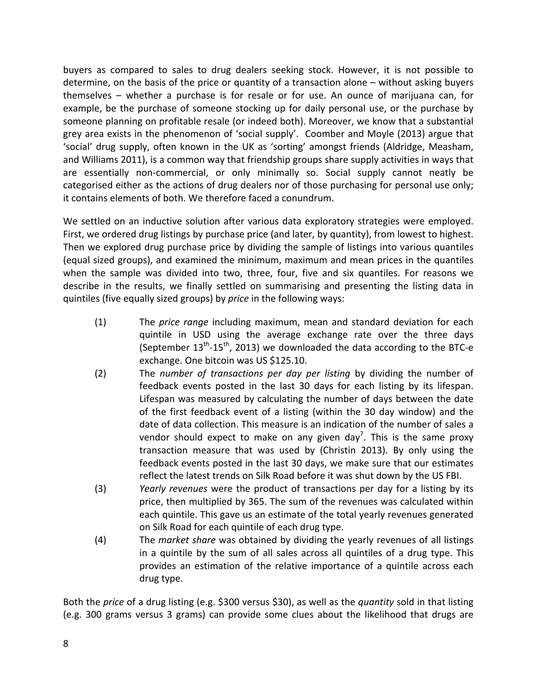buyers as compared to sales to drug dealers seeking stock. However, it is not possible to determine, on the basis of the price or quantity of a transaction alone  $-$  without asking buyers themselves  $-$  whether a purchase is for resale or for use. An ounce of marijuana can, for example, be the purchase of someone stocking up for daily personal use, or the purchase by someone planning on profitable resale (or indeed both). Moreover, we know that a substantial grey area exists in the phenomenon of 'social supply'. Coomber and Moyle (2013) argue that 'social' drug supply, often known in the UK as 'sorting' amongst friends (Aldridge, Measham, and Williams 2011), is a common way that friendship groups share supply activities in ways that are essentially non-commercial, or only minimally so. Social supply cannot neatly be categorised either as the actions of drug dealers nor of those purchasing for personal use only; it contains elements of both. We therefore faced a conundrum.

We settled on an inductive solution after various data exploratory strategies were employed. First, we ordered drug listings by purchase price (and later, by quantity), from lowest to highest. Then we explored drug purchase price by dividing the sample of listings into various quantiles (equal sized groups), and examined the minimum, maximum and mean prices in the quantiles when the sample was divided into two, three, four, five and six quantiles. For reasons we describe in the results, we finally settled on summarising and presenting the listing data in quintiles (five equally sized groups) by *price* in the following ways:

- (1) The *price range* including maximum, mean and standard deviation for each quintile in USD using the average exchange rate over the three days (September  $13^{th}$ -15<sup>th</sup>, 2013) we downloaded the data according to the BTC-e exchange. One bitcoin was US \$125.10.
- (2) The *number of transactions per day per listing* by dividing the number of feedback events posted in the last 30 days for each listing by its lifespan. Lifespan was measured by calculating the number of days between the date of the first feedback event of a listing (within the 30 day window) and the date of data collection. This measure is an indication of the number of sales a vendor should expect to make on any given day<sup>7</sup>. This is the same proxy transaction measure that was used by (Christin 2013). By only using the feedback events posted in the last 30 days, we make sure that our estimates reflect the latest trends on Silk Road before it was shut down by the US FBI.
- (3) *Yearly revenues* were the product of transactions per day for a listing by its price, then multiplied by 365. The sum of the revenues was calculated within each quintile. This gave us an estimate of the total yearly revenues generated on Silk Road for each quintile of each drug type.
- (4) The *market share* was obtained by dividing the yearly revenues of all listings in a quintile by the sum of all sales across all quintiles of a drug type. This provides an estimation of the relative importance of a quintile across each drug type.

Both the *price* of a drug listing (e.g. \$300 versus \$30), as well as the *quantity* sold in that listing (e.g. 300 grams versus 3 grams) can provide some clues about the likelihood that drugs are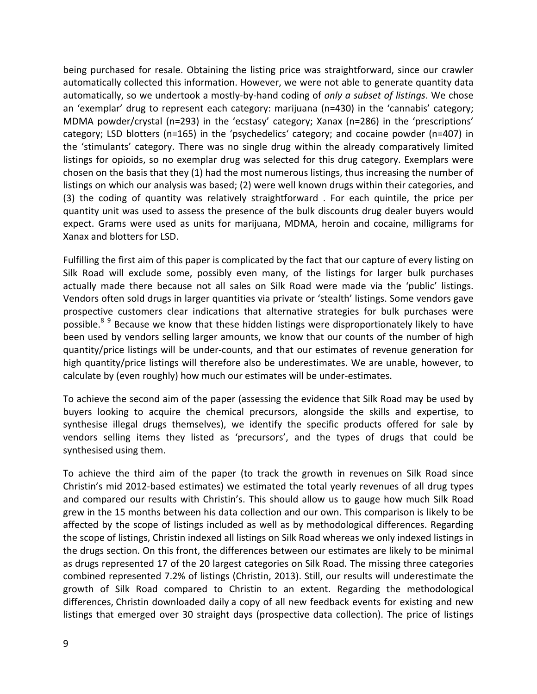being purchased for resale. Obtaining the listing price was straightforward, since our crawler automatically collected this information. However, we were not able to generate quantity data automatically, so we undertook a mostly-by-hand coding of *only a subset of listings*. We chose an 'exemplar' drug to represent each category: marijuana (n=430) in the 'cannabis' category; MDMA powder/crystal (n=293) in the 'ecstasy' category; Xanax (n=286) in the 'prescriptions' category; LSD blotters (n=165) in the 'psychedelics' category; and cocaine powder (n=407) in the 'stimulants' category. There was no single drug within the already comparatively limited listings for opioids, so no exemplar drug was selected for this drug category. Exemplars were chosen on the basis that they (1) had the most numerous listings, thus increasing the number of listings on which our analysis was based; (2) were well known drugs within their categories, and (3) the coding of quantity was relatively straightforward . For each quintile, the price per quantity unit was used to assess the presence of the bulk discounts drug dealer buyers would expect. Grams were used as units for marijuana, MDMA, heroin and cocaine, milligrams for Xanax and blotters for LSD. 

Fulfilling the first aim of this paper is complicated by the fact that our capture of every listing on Silk Road will exclude some, possibly even many, of the listings for larger bulk purchases actually made there because not all sales on Silk Road were made via the 'public' listings. Vendors often sold drugs in larger quantities via private or 'stealth' listings. Some vendors gave prospective customers clear indications that alternative strategies for bulk purchases were possible.<sup>8 9</sup> Because we know that these hidden listings were disproportionately likely to have been used by vendors selling larger amounts, we know that our counts of the number of high quantity/price listings will be under-counts, and that our estimates of revenue generation for high quantity/price listings will therefore also be underestimates. We are unable, however, to calculate by (even roughly) how much our estimates will be under-estimates.

To achieve the second aim of the paper (assessing the evidence that Silk Road may be used by buyers looking to acquire the chemical precursors, alongside the skills and expertise, to synthesise illegal drugs themselves), we identify the specific products offered for sale by vendors selling items they listed as 'precursors', and the types of drugs that could be synthesised using them.

To achieve the third aim of the paper (to track the growth in revenues on Silk Road since Christin's mid 2012-based estimates) we estimated the total yearly revenues of all drug types and compared our results with Christin's. This should allow us to gauge how much Silk Road grew in the 15 months between his data collection and our own. This comparison is likely to be affected by the scope of listings included as well as by methodological differences. Regarding the scope of listings, Christin indexed all listings on Silk Road whereas we only indexed listings in the drugs section. On this front, the differences between our estimates are likely to be minimal as drugs represented 17 of the 20 largest categories on Silk Road. The missing three categories combined represented 7.2% of listings (Christin, 2013). Still, our results will underestimate the growth of Silk Road compared to Christin to an extent. Regarding the methodological differences, Christin downloaded daily a copy of all new feedback events for existing and new listings that emerged over 30 straight days (prospective data collection). The price of listings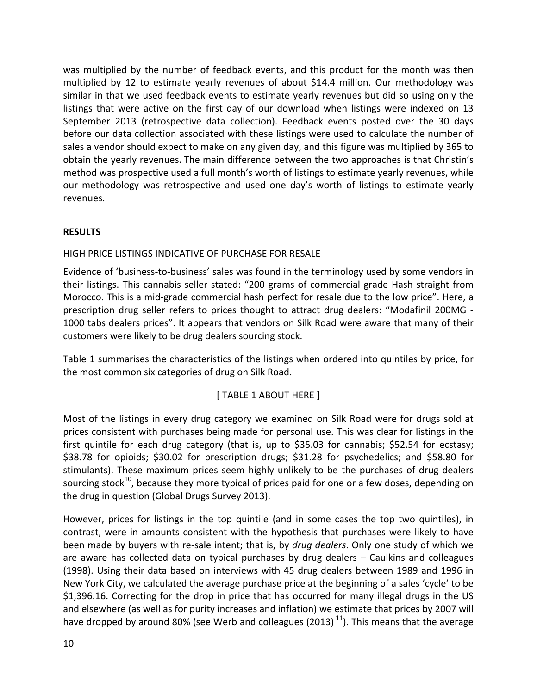was multiplied by the number of feedback events, and this product for the month was then multiplied by 12 to estimate yearly revenues of about \$14.4 million. Our methodology was similar in that we used feedback events to estimate yearly revenues but did so using only the listings that were active on the first day of our download when listings were indexed on 13 September 2013 (retrospective data collection). Feedback events posted over the 30 days before our data collection associated with these listings were used to calculate the number of sales a vendor should expect to make on any given day, and this figure was multiplied by 365 to obtain the yearly revenues. The main difference between the two approaches is that Christin's method was prospective used a full month's worth of listings to estimate yearly revenues, while our methodology was retrospective and used one day's worth of listings to estimate yearly revenues. 

# **RESULTS**

# HIGH PRICE LISTINGS INDICATIVE OF PURCHASE FOR RESALE

Evidence of 'business-to-business' sales was found in the terminology used by some vendors in their listings. This cannabis seller stated: "200 grams of commercial grade Hash straight from Morocco. This is a mid-grade commercial hash perfect for resale due to the low price". Here, a prescription drug seller refers to prices thought to attract drug dealers: "Modafinil 200MG -1000 tabs dealers prices". It appears that vendors on Silk Road were aware that many of their customers were likely to be drug dealers sourcing stock.

Table 1 summarises the characteristics of the listings when ordered into quintiles by price, for the most common six categories of drug on Silk Road.

# [ TABLE 1 ABOUT HERE ]

Most of the listings in every drug category we examined on Silk Road were for drugs sold at prices consistent with purchases being made for personal use. This was clear for listings in the first quintile for each drug category (that is, up to \$35.03 for cannabis; \$52.54 for ecstasy; \$38.78 for opioids; \$30.02 for prescription drugs; \$31.28 for psychedelics; and \$58.80 for stimulants). These maximum prices seem highly unlikely to be the purchases of drug dealers sourcing stock<sup>10</sup>, because they more typical of prices paid for one or a few doses, depending on the drug in question (Global Drugs Survey 2013).

However, prices for listings in the top quintile (and in some cases the top two quintiles), in contrast, were in amounts consistent with the hypothesis that purchases were likely to have been made by buyers with re-sale intent; that is, by *drug dealers*. Only one study of which we are aware has collected data on typical purchases by drug dealers – Caulkins and colleagues (1998). Using their data based on interviews with 45 drug dealers between 1989 and 1996 in New York City, we calculated the average purchase price at the beginning of a sales 'cycle' to be \$1,396.16. Correcting for the drop in price that has occurred for many illegal drugs in the US and elsewhere (as well as for purity increases and inflation) we estimate that prices by 2007 will have dropped by around 80% (see Werb and colleagues (2013)  $^{11}$ ). This means that the average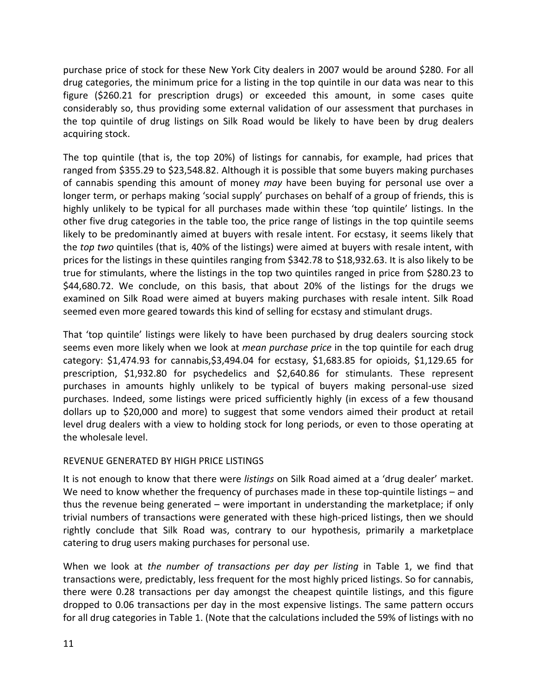purchase price of stock for these New York City dealers in 2007 would be around \$280. For all drug categories, the minimum price for a listing in the top quintile in our data was near to this figure (\$260.21 for prescription drugs) or exceeded this amount, in some cases quite considerably so, thus providing some external validation of our assessment that purchases in the top quintile of drug listings on Silk Road would be likely to have been by drug dealers acquiring stock.

The top quintile (that is, the top 20%) of listings for cannabis, for example, had prices that ranged from \$355.29 to \$23,548.82. Although it is possible that some buyers making purchases of cannabis spending this amount of money *may* have been buying for personal use over a longer term, or perhaps making 'social supply' purchases on behalf of a group of friends, this is highly unlikely to be typical for all purchases made within these 'top quintile' listings. In the other five drug categories in the table too, the price range of listings in the top quintile seems likely to be predominantly aimed at buyers with resale intent. For ecstasy, it seems likely that the *top* two quintiles (that is, 40% of the listings) were aimed at buyers with resale intent, with prices for the listings in these quintiles ranging from \$342.78 to \$18,932.63. It is also likely to be true for stimulants, where the listings in the top two quintiles ranged in price from \$280.23 to \$44,680.72. We conclude, on this basis, that about 20% of the listings for the drugs we examined on Silk Road were aimed at buyers making purchases with resale intent. Silk Road seemed even more geared towards this kind of selling for ecstasy and stimulant drugs.

That 'top quintile' listings were likely to have been purchased by drug dealers sourcing stock seems even more likely when we look at *mean purchase price* in the top quintile for each drug category: \$1,474.93 for cannabis,\$3,494.04 for ecstasy, \$1,683.85 for opioids, \$1,129.65 for prescription, \$1,932.80 for psychedelics and \$2,640.86 for stimulants. These represent purchases in amounts highly unlikely to be typical of buyers making personal-use sized purchases. Indeed, some listings were priced sufficiently highly (in excess of a few thousand dollars up to \$20,000 and more) to suggest that some vendors aimed their product at retail level drug dealers with a view to holding stock for long periods, or even to those operating at the wholesale level.

# REVENUE GENERATED BY HIGH PRICE LISTINGS

It is not enough to know that there were *listings* on Silk Road aimed at a 'drug dealer' market. We need to know whether the frequency of purchases made in these top-quintile listings  $-$  and thus the revenue being generated  $-$  were important in understanding the marketplace; if only trivial numbers of transactions were generated with these high-priced listings, then we should rightly conclude that Silk Road was, contrary to our hypothesis, primarily a marketplace catering to drug users making purchases for personal use.

When we look at *the number of transactions per day per listing* in Table 1, we find that transactions were, predictably, less frequent for the most highly priced listings. So for cannabis, there were 0.28 transactions per day amongst the cheapest quintile listings, and this figure dropped to 0.06 transactions per day in the most expensive listings. The same pattern occurs for all drug categories in Table 1. (Note that the calculations included the 59% of listings with no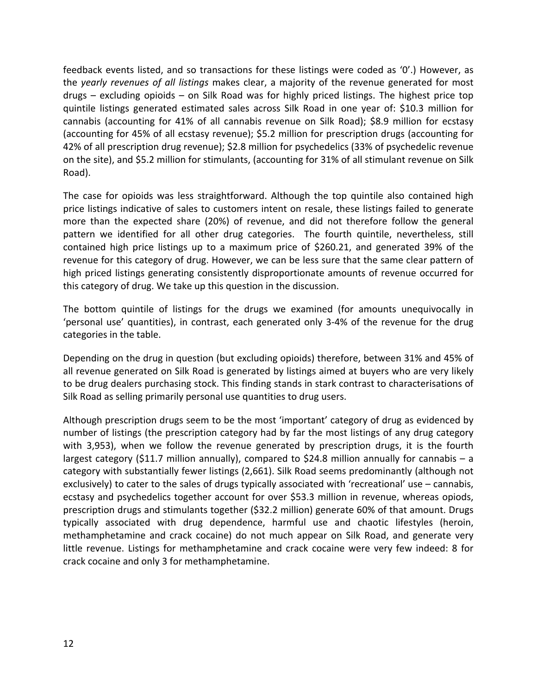feedback events listed, and so transactions for these listings were coded as '0'.) However, as the *yearly revenues of all listings* makes clear, a majority of the revenue generated for most  $drugs - excluding$  opioids  $-$  on Silk Road was for highly priced listings. The highest price top quintile listings generated estimated sales across Silk Road in one year of: \$10.3 million for cannabis (accounting for 41% of all cannabis revenue on Silk Road); \$8.9 million for ecstasy (accounting for 45% of all ecstasy revenue); \$5.2 million for prescription drugs (accounting for 42% of all prescription drug revenue); \$2.8 million for psychedelics (33% of psychedelic revenue on the site), and \$5.2 million for stimulants, (accounting for 31% of all stimulant revenue on Silk Road). 

The case for opioids was less straightforward. Although the top quintile also contained high price listings indicative of sales to customers intent on resale, these listings failed to generate more than the expected share (20%) of revenue, and did not therefore follow the general pattern we identified for all other drug categories. The fourth quintile, nevertheless, still contained high price listings up to a maximum price of \$260.21, and generated 39% of the revenue for this category of drug. However, we can be less sure that the same clear pattern of high priced listings generating consistently disproportionate amounts of revenue occurred for this category of drug. We take up this question in the discussion.

The bottom quintile of listings for the drugs we examined (for amounts unequivocally in 'personal use' quantities), in contrast, each generated only 3-4% of the revenue for the drug categories in the table.

Depending on the drug in question (but excluding opioids) therefore, between 31% and 45% of all revenue generated on Silk Road is generated by listings aimed at buyers who are very likely to be drug dealers purchasing stock. This finding stands in stark contrast to characterisations of Silk Road as selling primarily personal use quantities to drug users.

Although prescription drugs seem to be the most 'important' category of drug as evidenced by number of listings (the prescription category had by far the most listings of any drug category with 3,953), when we follow the revenue generated by prescription drugs, it is the fourth largest category (\$11.7 million annually), compared to \$24.8 million annually for cannabis – a category with substantially fewer listings (2,661). Silk Road seems predominantly (although not exclusively) to cater to the sales of drugs typically associated with 'recreational' use  $-$  cannabis, ecstasy and psychedelics together account for over \$53.3 million in revenue, whereas opiods, prescription drugs and stimulants together (\$32.2 million) generate 60% of that amount. Drugs typically associated with drug dependence, harmful use and chaotic lifestyles (heroin, methamphetamine and crack cocaine) do not much appear on Silk Road, and generate very little revenue. Listings for methamphetamine and crack cocaine were very few indeed: 8 for crack cocaine and only 3 for methamphetamine.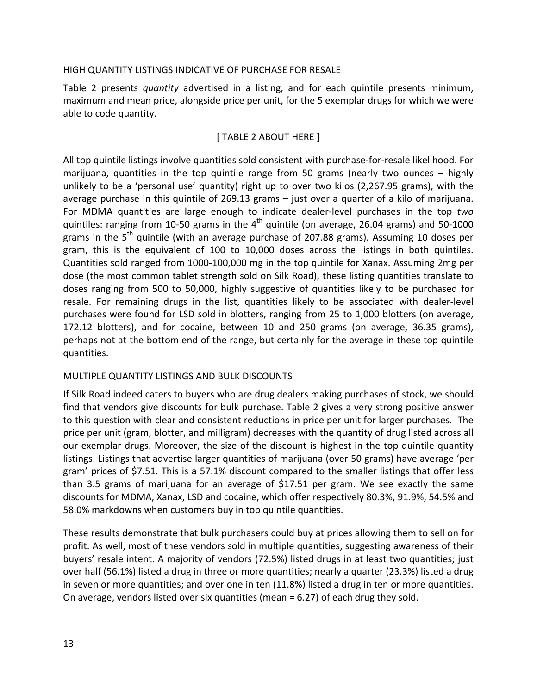## HIGH OUANTITY LISTINGS INDICATIVE OF PURCHASE FOR RESALE

Table 2 presents *quantity* advertised in a listing, and for each quintile presents minimum, maximum and mean price, alongside price per unit, for the 5 exemplar drugs for which we were able to code quantity.

# [ TABLE 2 ABOUT HERE ]

All top quintile listings involve quantities sold consistent with purchase-for-resale likelihood. For marijuana, quantities in the top quintile range from 50 grams (nearly two ounces  $-$  highly unlikely to be a 'personal use' quantity) right up to over two kilos (2,267.95 grams), with the average purchase in this quintile of 269.13 grams  $-$  just over a quarter of a kilo of marijuana. For MDMA quantities are large enough to indicate dealer-level purchases in the top *two* quintiles: ranging from 10-50 grams in the  $4<sup>th</sup>$  quintile (on average, 26.04 grams) and 50-1000 grams in the  $5<sup>th</sup>$  quintile (with an average purchase of 207.88 grams). Assuming 10 doses per gram, this is the equivalent of 100 to 10,000 doses across the listings in both quintiles. Quantities sold ranged from 1000-100,000 mg in the top quintile for Xanax. Assuming 2mg per dose (the most common tablet strength sold on Silk Road), these listing quantities translate to doses ranging from 500 to 50,000, highly suggestive of quantities likely to be purchased for resale. For remaining drugs in the list, quantities likely to be associated with dealer-level purchases were found for LSD sold in blotters, ranging from 25 to 1,000 blotters (on average, 172.12 blotters), and for cocaine, between 10 and 250 grams (on average, 36.35 grams), perhaps not at the bottom end of the range, but certainly for the average in these top quintile quantities.

# MULTIPLE QUANTITY LISTINGS AND BULK DISCOUNTS

If Silk Road indeed caters to buyers who are drug dealers making purchases of stock, we should find that vendors give discounts for bulk purchase. Table 2 gives a very strong positive answer to this question with clear and consistent reductions in price per unit for larger purchases. The price per unit (gram, blotter, and milligram) decreases with the quantity of drug listed across all our exemplar drugs. Moreover, the size of the discount is highest in the top quintile quantity listings. Listings that advertise larger quantities of marijuana (over 50 grams) have average 'per gram' prices of \$7.51. This is a 57.1% discount compared to the smaller listings that offer less than 3.5 grams of marijuana for an average of \$17.51 per gram. We see exactly the same discounts for MDMA, Xanax, LSD and cocaine, which offer respectively 80.3%, 91.9%, 54.5% and 58.0% markdowns when customers buy in top quintile quantities.

These results demonstrate that bulk purchasers could buy at prices allowing them to sell on for profit. As well, most of these vendors sold in multiple quantities, suggesting awareness of their buyers' resale intent. A majority of vendors (72.5%) listed drugs in at least two quantities; just over half (56.1%) listed a drug in three or more quantities; nearly a quarter (23.3%) listed a drug in seven or more quantities; and over one in ten (11.8%) listed a drug in ten or more quantities. On average, vendors listed over six quantities (mean =  $6.27$ ) of each drug they sold.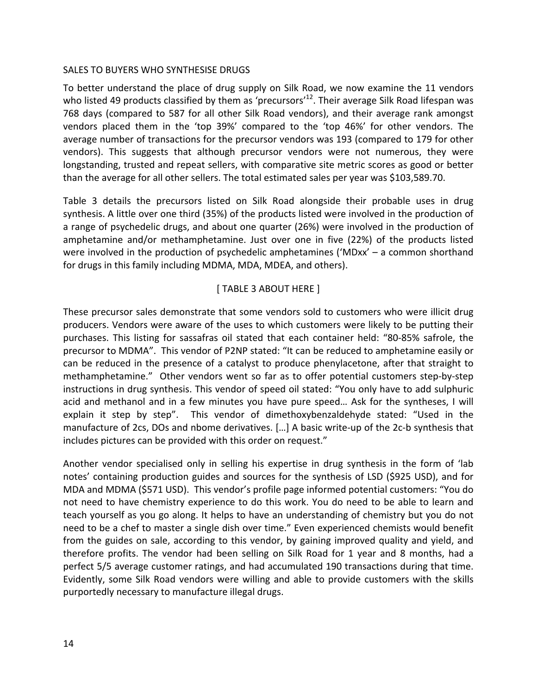### SALES TO BUYERS WHO SYNTHESISE DRUGS

To better understand the place of drug supply on Silk Road, we now examine the 11 vendors who listed 49 products classified by them as 'precursors'<sup>12</sup>. Their average Silk Road lifespan was 768 days (compared to 587 for all other Silk Road vendors), and their average rank amongst vendors placed them in the 'top 39%' compared to the 'top 46%' for other vendors. The average number of transactions for the precursor vendors was 193 (compared to 179 for other vendors). This suggests that although precursor vendors were not numerous, they were longstanding, trusted and repeat sellers, with comparative site metric scores as good or better than the average for all other sellers. The total estimated sales per year was \$103,589.70.

Table 3 details the precursors listed on Silk Road alongside their probable uses in drug synthesis. A little over one third (35%) of the products listed were involved in the production of a range of psychedelic drugs, and about one quarter (26%) were involved in the production of amphetamine and/or methamphetamine. Just over one in five (22%) of the products listed were involved in the production of psychedelic amphetamines ('MDxx' – a common shorthand for drugs in this family including MDMA, MDA, MDEA, and others).

## [TABLE 3 ABOUT HERE ]

These precursor sales demonstrate that some vendors sold to customers who were illicit drug producers. Vendors were aware of the uses to which customers were likely to be putting their purchases. This listing for sassafras oil stated that each container held: "80-85% safrole, the precursor to MDMA". This vendor of P2NP stated: "It can be reduced to amphetamine easily or can be reduced in the presence of a catalyst to produce phenylacetone, after that straight to methamphetamine." Other vendors went so far as to offer potential customers step-by-step instructions in drug synthesis. This vendor of speed oil stated: "You only have to add sulphuric acid and methanol and in a few minutes you have pure speed... Ask for the syntheses, I will explain it step by step". This vendor of dimethoxybenzaldehyde stated: "Used in the manufacture of 2cs, DOs and nbome derivatives. [...] A basic write-up of the 2c-b synthesis that includes pictures can be provided with this order on request."

Another vendor specialised only in selling his expertise in drug synthesis in the form of 'lab notes' containing production guides and sources for the synthesis of LSD (\$925 USD), and for MDA and MDMA (\$571 USD). This vendor's profile page informed potential customers: "You do not need to have chemistry experience to do this work. You do need to be able to learn and teach yourself as you go along. It helps to have an understanding of chemistry but you do not need to be a chef to master a single dish over time." Even experienced chemists would benefit from the guides on sale, according to this vendor, by gaining improved quality and yield, and therefore profits. The vendor had been selling on Silk Road for 1 year and 8 months, had a perfect 5/5 average customer ratings, and had accumulated 190 transactions during that time. Evidently, some Silk Road vendors were willing and able to provide customers with the skills purportedly necessary to manufacture illegal drugs.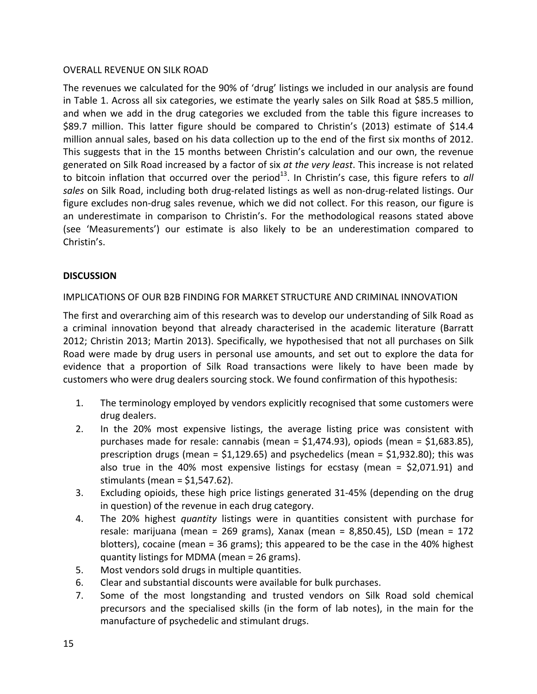## OVERALL REVENUE ON SILK ROAD

The revenues we calculated for the 90% of 'drug' listings we included in our analysis are found in Table 1. Across all six categories, we estimate the yearly sales on Silk Road at \$85.5 million, and when we add in the drug categories we excluded from the table this figure increases to \$89.7 million. This latter figure should be compared to Christin's (2013) estimate of \$14.4 million annual sales, based on his data collection up to the end of the first six months of 2012. This suggests that in the 15 months between Christin's calculation and our own, the revenue generated on Silk Road increased by a factor of six *at the very least*. This increase is not related to bitcoin inflation that occurred over the period<sup>13</sup>. In Christin's case, this figure refers to all sales on Silk Road, including both drug-related listings as well as non-drug-related listings. Our figure excludes non-drug sales revenue, which we did not collect. For this reason, our figure is an underestimate in comparison to Christin's. For the methodological reasons stated above (see 'Measurements') our estimate is also likely to be an underestimation compared to Christin's.

## **DISCUSSION**

## IMPLICATIONS OF OUR B2B FINDING FOR MARKET STRUCTURE AND CRIMINAL INNOVATION

The first and overarching aim of this research was to develop our understanding of Silk Road as a criminal innovation beyond that already characterised in the academic literature (Barratt 2012; Christin 2013; Martin 2013). Specifically, we hypothesised that not all purchases on Silk Road were made by drug users in personal use amounts, and set out to explore the data for evidence that a proportion of Silk Road transactions were likely to have been made by customers who were drug dealers sourcing stock. We found confirmation of this hypothesis:

- 1. The terminology employed by vendors explicitly recognised that some customers were drug dealers.
- 2. In the 20% most expensive listings, the average listing price was consistent with purchases made for resale: cannabis (mean =  $$1,474.93$ ), opiods (mean =  $$1,683.85$ ), prescription drugs (mean =  $$1,129.65$ ) and psychedelics (mean =  $$1,932.80$ ); this was also true in the 40% most expensive listings for ecstasy (mean =  $$2,071.91$ ) and stimulants (mean  $=$  \$1,547.62).
- 3. Excluding opioids, these high price listings generated 31-45% (depending on the drug in question) of the revenue in each drug category.
- 4. The 20% highest *quantity* listings were in quantities consistent with purchase for resale: marijuana (mean =  $269$  grams), Xanax (mean =  $8,850.45$ ), LSD (mean =  $172$ blotters), cocaine (mean =  $36$  grams); this appeared to be the case in the  $40\%$  highest quantity listings for MDMA (mean  $=$  26 grams).
- 5. Most vendors sold drugs in multiple quantities.
- 6. Clear and substantial discounts were available for bulk purchases.
- 7. Some of the most longstanding and trusted vendors on Silk Road sold chemical precursors and the specialised skills (in the form of lab notes), in the main for the manufacture of psychedelic and stimulant drugs.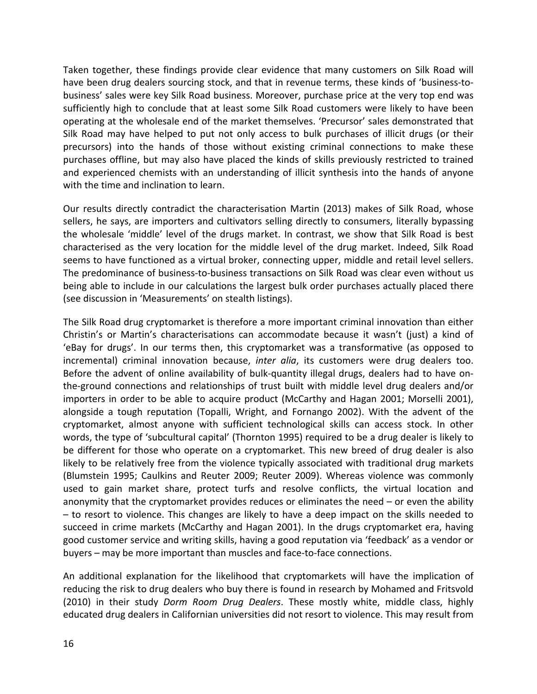Taken together, these findings provide clear evidence that many customers on Silk Road will have been drug dealers sourcing stock, and that in revenue terms, these kinds of 'business-tobusiness' sales were key Silk Road business. Moreover, purchase price at the very top end was sufficiently high to conclude that at least some Silk Road customers were likely to have been operating at the wholesale end of the market themselves. 'Precursor' sales demonstrated that Silk Road may have helped to put not only access to bulk purchases of illicit drugs (or their precursors) into the hands of those without existing criminal connections to make these purchases offline, but may also have placed the kinds of skills previously restricted to trained and experienced chemists with an understanding of illicit synthesis into the hands of anyone with the time and inclination to learn.

Our results directly contradict the characterisation Martin (2013) makes of Silk Road, whose sellers, he says, are importers and cultivators selling directly to consumers, literally bypassing the wholesale 'middle' level of the drugs market. In contrast, we show that Silk Road is best characterised as the very location for the middle level of the drug market. Indeed, Silk Road seems to have functioned as a virtual broker, connecting upper, middle and retail level sellers. The predominance of business-to-business transactions on Silk Road was clear even without us being able to include in our calculations the largest bulk order purchases actually placed there (see discussion in 'Measurements' on stealth listings).

The Silk Road drug cryptomarket is therefore a more important criminal innovation than either Christin's or Martin's characterisations can accommodate because it wasn't (just) a kind of 'eBay for drugs'. In our terms then, this cryptomarket was a transformative (as opposed to incremental) criminal innovation because, *inter alia*, its customers were drug dealers too. Before the advent of online availability of bulk-quantity illegal drugs, dealers had to have onthe-ground connections and relationships of trust built with middle level drug dealers and/or importers in order to be able to acquire product (McCarthy and Hagan 2001; Morselli 2001), alongside a tough reputation (Topalli, Wright, and Fornango 2002). With the advent of the cryptomarket, almost anyone with sufficient technological skills can access stock. In other words, the type of 'subcultural capital' (Thornton 1995) required to be a drug dealer is likely to be different for those who operate on a cryptomarket. This new breed of drug dealer is also likely to be relatively free from the violence typically associated with traditional drug markets (Blumstein 1995; Caulkins and Reuter 2009; Reuter 2009). Whereas violence was commonly used to gain market share, protect turfs and resolve conflicts, the virtual location and anonymity that the cryptomarket provides reduces or eliminates the need  $-$  or even the ability – to resort to violence. This changes are likely to have a deep impact on the skills needed to succeed in crime markets (McCarthy and Hagan 2001). In the drugs cryptomarket era, having good customer service and writing skills, having a good reputation via 'feedback' as a vendor or buyers – may be more important than muscles and face-to-face connections.

An additional explanation for the likelihood that cryptomarkets will have the implication of reducing the risk to drug dealers who buy there is found in research by Mohamed and Fritsvold (2010) in their study *Dorm Room Drug Dealers*. These mostly white, middle class, highly educated drug dealers in Californian universities did not resort to violence. This may result from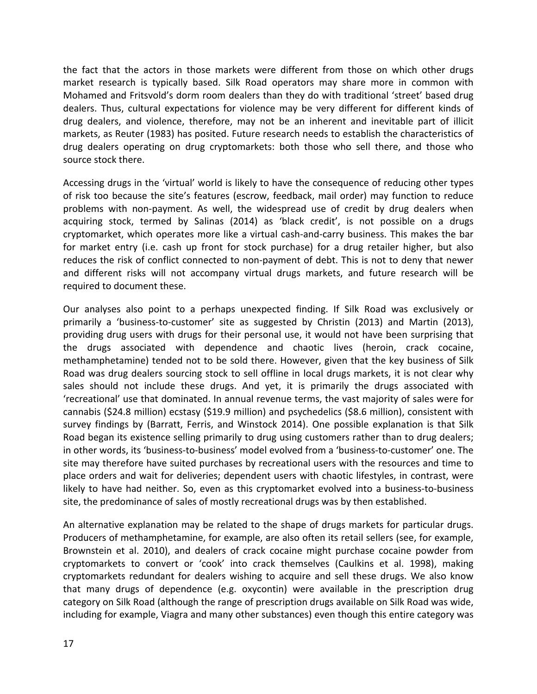the fact that the actors in those markets were different from those on which other drugs market research is typically based. Silk Road operators may share more in common with Mohamed and Fritsvold's dorm room dealers than they do with traditional 'street' based drug dealers. Thus, cultural expectations for violence may be very different for different kinds of drug dealers, and violence, therefore, may not be an inherent and inevitable part of illicit markets, as Reuter (1983) has posited. Future research needs to establish the characteristics of drug dealers operating on drug cryptomarkets: both those who sell there, and those who source stock there.

Accessing drugs in the 'virtual' world is likely to have the consequence of reducing other types of risk too because the site's features (escrow, feedback, mail order) may function to reduce problems with non-payment. As well, the widespread use of credit by drug dealers when acquiring stock, termed by Salinas (2014) as 'black credit', is not possible on a drugs cryptomarket, which operates more like a virtual cash-and-carry business. This makes the bar for market entry (i.e. cash up front for stock purchase) for a drug retailer higher, but also reduces the risk of conflict connected to non-payment of debt. This is not to deny that newer and different risks will not accompany virtual drugs markets, and future research will be required to document these.

Our analyses also point to a perhaps unexpected finding. If Silk Road was exclusively or primarily a 'business-to-customer' site as suggested by Christin (2013) and Martin (2013), providing drug users with drugs for their personal use, it would not have been surprising that the drugs associated with dependence and chaotic lives (heroin, crack cocaine, methamphetamine) tended not to be sold there. However, given that the key business of Silk Road was drug dealers sourcing stock to sell offline in local drugs markets, it is not clear why sales should not include these drugs. And yet, it is primarily the drugs associated with 'recreational' use that dominated. In annual revenue terms, the vast majority of sales were for cannabis (\$24.8 million) ecstasy (\$19.9 million) and psychedelics (\$8.6 million), consistent with survey findings by (Barratt, Ferris, and Winstock 2014). One possible explanation is that Silk Road began its existence selling primarily to drug using customers rather than to drug dealers; in other words, its 'business-to-business' model evolved from a 'business-to-customer' one. The site may therefore have suited purchases by recreational users with the resources and time to place orders and wait for deliveries; dependent users with chaotic lifestyles, in contrast, were likely to have had neither. So, even as this cryptomarket evolved into a business-to-business site, the predominance of sales of mostly recreational drugs was by then established.

An alternative explanation may be related to the shape of drugs markets for particular drugs. Producers of methamphetamine, for example, are also often its retail sellers (see, for example, Brownstein et al. 2010), and dealers of crack cocaine might purchase cocaine powder from cryptomarkets to convert or 'cook' into crack themselves (Caulkins et al. 1998), making cryptomarkets redundant for dealers wishing to acquire and sell these drugs. We also know that many drugs of dependence (e.g. oxycontin) were available in the prescription drug category on Silk Road (although the range of prescription drugs available on Silk Road was wide, including for example, Viagra and many other substances) even though this entire category was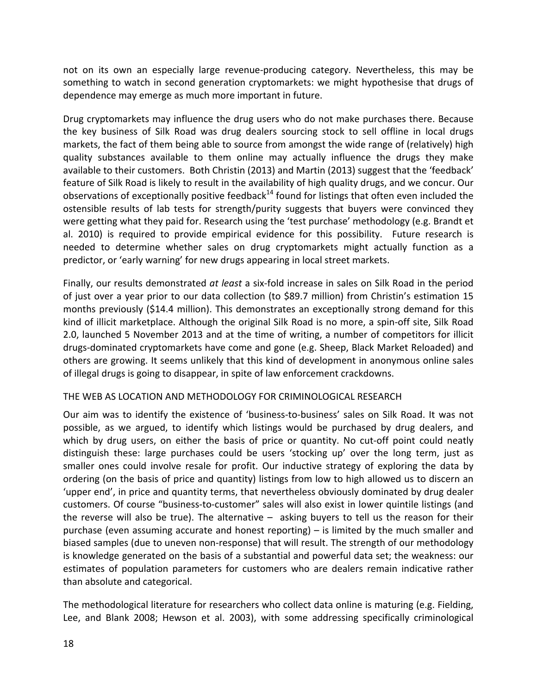not on its own an especially large revenue-producing category. Nevertheless, this may be something to watch in second generation cryptomarkets: we might hypothesise that drugs of dependence may emerge as much more important in future.

Drug cryptomarkets may influence the drug users who do not make purchases there. Because the key business of Silk Road was drug dealers sourcing stock to sell offline in local drugs markets, the fact of them being able to source from amongst the wide range of (relatively) high quality substances available to them online may actually influence the drugs they make available to their customers. Both Christin (2013) and Martin (2013) suggest that the 'feedback' feature of Silk Road is likely to result in the availability of high quality drugs, and we concur. Our observations of exceptionally positive feedback<sup>14</sup> found for listings that often even included the ostensible results of lab tests for strength/purity suggests that buyers were convinced they were getting what they paid for. Research using the 'test purchase' methodology (e.g. Brandt et al. 2010) is required to provide empirical evidence for this possibility. Future research is needed to determine whether sales on drug cryptomarkets might actually function as a predictor, or 'early warning' for new drugs appearing in local street markets.

Finally, our results demonstrated at least a six-fold increase in sales on Silk Road in the period of just over a year prior to our data collection (to \$89.7 million) from Christin's estimation 15 months previously (\$14.4 million). This demonstrates an exceptionally strong demand for this kind of illicit marketplace. Although the original Silk Road is no more, a spin-off site, Silk Road 2.0, launched 5 November 2013 and at the time of writing, a number of competitors for illicit drugs-dominated cryptomarkets have come and gone (e.g. Sheep, Black Market Reloaded) and others are growing. It seems unlikely that this kind of development in anonymous online sales of illegal drugs is going to disappear, in spite of law enforcement crackdowns.

### THE WEB AS LOCATION AND METHODOLOGY FOR CRIMINOLOGICAL RESEARCH

Our aim was to identify the existence of 'business-to-business' sales on Silk Road. It was not possible, as we argued, to identify which listings would be purchased by drug dealers, and which by drug users, on either the basis of price or quantity. No cut-off point could neatly distinguish these: large purchases could be users 'stocking up' over the long term, just as smaller ones could involve resale for profit. Our inductive strategy of exploring the data by ordering (on the basis of price and quantity) listings from low to high allowed us to discern an 'upper end', in price and quantity terms, that nevertheless obviously dominated by drug dealer customers. Of course "business-to-customer" sales will also exist in lower quintile listings (and the reverse will also be true). The alternative  $-$  asking buyers to tell us the reason for their purchase (even assuming accurate and honest reporting)  $-$  is limited by the much smaller and biased samples (due to uneven non-response) that will result. The strength of our methodology is knowledge generated on the basis of a substantial and powerful data set; the weakness: our estimates of population parameters for customers who are dealers remain indicative rather than absolute and categorical.

The methodological literature for researchers who collect data online is maturing (e.g. Fielding, Lee, and Blank 2008; Hewson et al. 2003), with some addressing specifically criminological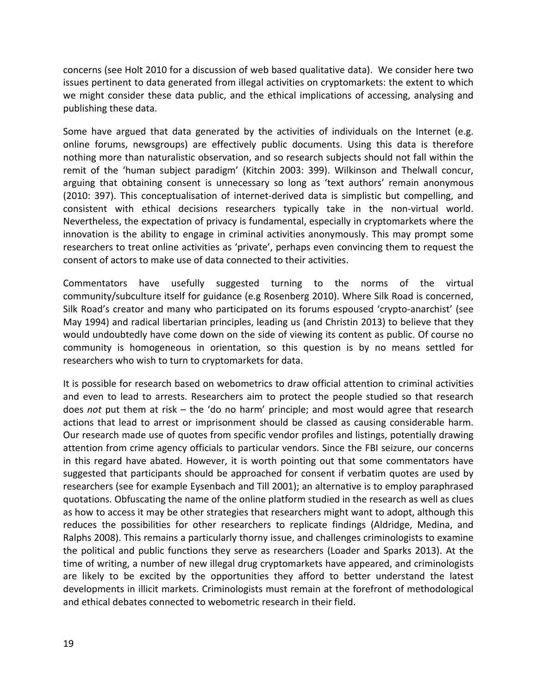concerns (see Holt 2010 for a discussion of web based qualitative data). We consider here two issues pertinent to data generated from illegal activities on cryptomarkets: the extent to which we might consider these data public, and the ethical implications of accessing, analysing and publishing these data.

Some have argued that data generated by the activities of individuals on the Internet (e.g. online forums, newsgroups) are effectively public documents. Using this data is therefore nothing more than naturalistic observation, and so research subjects should not fall within the remit of the 'human subject paradigm' (Kitchin 2003: 399). Wilkinson and Thelwall concur, arguing that obtaining consent is unnecessary so long as 'text authors' remain anonymous (2010: 397). This conceptualisation of internet-derived data is simplistic but compelling, and consistent with ethical decisions researchers typically take in the non-virtual world. Nevertheless, the expectation of privacy is fundamental, especially in cryptomarkets where the innovation is the ability to engage in criminal activities anonymously. This may prompt some researchers to treat online activities as 'private', perhaps even convincing them to request the consent of actors to make use of data connected to their activities.

Commentators have usefully suggested turning to the norms of the virtual community/subculture itself for guidance (e.g Rosenberg 2010). Where Silk Road is concerned, Silk Road's creator and many who participated on its forums espoused 'crypto-anarchist' (see May 1994) and radical libertarian principles, leading us (and Christin 2013) to believe that they would undoubtedly have come down on the side of viewing its content as public. Of course no community is homogeneous in orientation, so this question is by no means settled for researchers who wish to turn to cryptomarkets for data.

It is possible for research based on webometrics to draw official attention to criminal activities and even to lead to arrests. Researchers aim to protect the people studied so that research does *not* put them at risk – the 'do no harm' principle; and most would agree that research actions that lead to arrest or imprisonment should be classed as causing considerable harm. Our research made use of quotes from specific vendor profiles and listings, potentially drawing attention from crime agency officials to particular vendors. Since the FBI seizure, our concerns in this regard have abated. However, it is worth pointing out that some commentators have suggested that participants should be approached for consent if verbatim quotes are used by researchers (see for example Eysenbach and Till 2001); an alternative is to employ paraphrased quotations. Obfuscating the name of the online platform studied in the research as well as clues as how to access it may be other strategies that researchers might want to adopt, although this reduces the possibilities for other researchers to replicate findings (Aldridge, Medina, and Ralphs 2008). This remains a particularly thorny issue, and challenges criminologists to examine the political and public functions they serve as researchers (Loader and Sparks 2013). At the time of writing, a number of new illegal drug cryptomarkets have appeared, and criminologists are likely to be excited by the opportunities they afford to better understand the latest developments in illicit markets. Criminologists must remain at the forefront of methodological and ethical debates connected to webometric research in their field.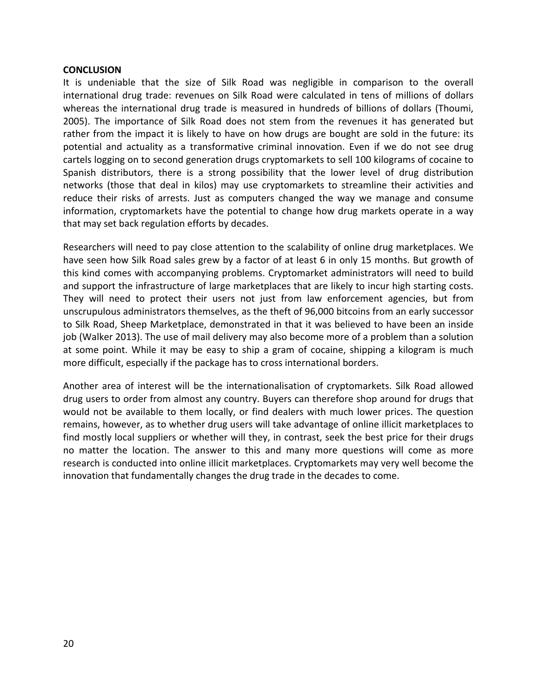#### **CONCLUSION**

It is undeniable that the size of Silk Road was negligible in comparison to the overall international drug trade: revenues on Silk Road were calculated in tens of millions of dollars whereas the international drug trade is measured in hundreds of billions of dollars (Thoumi, 2005). The importance of Silk Road does not stem from the revenues it has generated but rather from the impact it is likely to have on how drugs are bought are sold in the future: its potential and actuality as a transformative criminal innovation. Even if we do not see drug cartels logging on to second generation drugs cryptomarkets to sell 100 kilograms of cocaine to Spanish distributors, there is a strong possibility that the lower level of drug distribution networks (those that deal in kilos) may use cryptomarkets to streamline their activities and reduce their risks of arrests. Just as computers changed the way we manage and consume information, cryptomarkets have the potential to change how drug markets operate in a way that may set back regulation efforts by decades.

Researchers will need to pay close attention to the scalability of online drug marketplaces. We have seen how Silk Road sales grew by a factor of at least 6 in only 15 months. But growth of this kind comes with accompanying problems. Cryptomarket administrators will need to build and support the infrastructure of large marketplaces that are likely to incur high starting costs. They will need to protect their users not just from law enforcement agencies, but from unscrupulous administrators themselves, as the theft of 96,000 bitcoins from an early successor to Silk Road, Sheep Marketplace, demonstrated in that it was believed to have been an inside job (Walker 2013). The use of mail delivery may also become more of a problem than a solution at some point. While it may be easy to ship a gram of cocaine, shipping a kilogram is much more difficult, especially if the package has to cross international borders.

Another area of interest will be the internationalisation of cryptomarkets. Silk Road allowed drug users to order from almost any country. Buyers can therefore shop around for drugs that would not be available to them locally, or find dealers with much lower prices. The question remains, however, as to whether drug users will take advantage of online illicit marketplaces to find mostly local suppliers or whether will they, in contrast, seek the best price for their drugs no matter the location. The answer to this and many more questions will come as more research is conducted into online illicit marketplaces. Cryptomarkets may very well become the innovation that fundamentally changes the drug trade in the decades to come.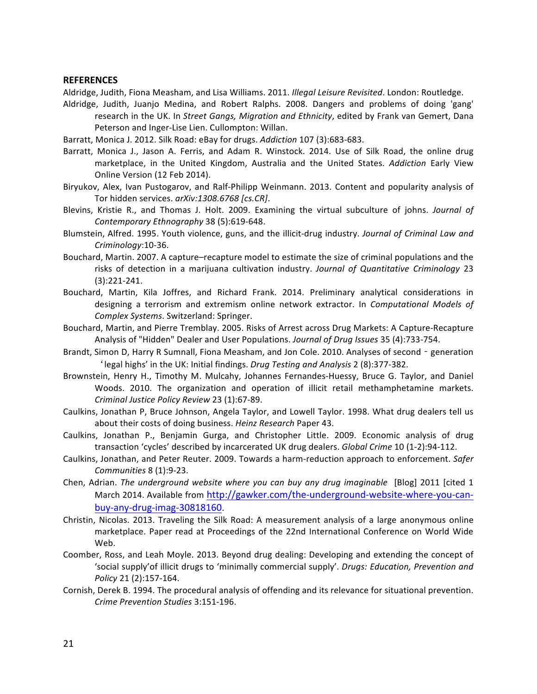#### **REFERENCES**

Aldridge, Judith, Fiona Measham, and Lisa Williams. 2011. *Illegal Leisure Revisited*. London: Routledge.

- Aldridge, Judith, Juanjo Medina, and Robert Ralphs. 2008. Dangers and problems of doing 'gang' research in the UK. In *Street Gangs, Migration and Ethnicity*, edited by Frank van Gemert, Dana Peterson and Inger-Lise Lien. Cullompton: Willan.
- Barratt, Monica J. 2012. Silk Road: eBay for drugs. *Addiction* 107 (3):683-683.
- Barratt, Monica J., Jason A. Ferris, and Adam R. Winstock. 2014. Use of Silk Road, the online drug marketplace, in the United Kingdom, Australia and the United States. Addiction Early View Online Version (12 Feb 2014).
- Biryukov, Alex, Ivan Pustogarov, and Ralf-Philipp Weinmann. 2013. Content and popularity analysis of Tor hidden services. arXiv:1308.6768 [cs.CR].
- Blevins, Kristie R., and Thomas J. Holt. 2009. Examining the virtual subculture of johns. Journal of *Contemporary Ethnography* 38 (5):619-648.
- Blumstein, Alfred. 1995. Youth violence, guns, and the illicit-drug industry. *Journal of Criminal Law and Criminology*:10-36.
- Bouchard, Martin. 2007. A capture–recapture model to estimate the size of criminal populations and the risks of detection in a marijuana cultivation industry. Journal of Quantitative Criminology 23 (3):221-241.
- Bouchard, Martin, Kila Joffres, and Richard Frank. 2014. Preliminary analytical considerations in designing a terrorism and extremism online network extractor. In *Computational Models of Complex Systems*. Switzerland: Springer.
- Bouchard, Martin, and Pierre Tremblay. 2005. Risks of Arrest across Drug Markets: A Capture-Recapture Analysis of "Hidden" Dealer and User Populations. Journal of Drug Issues 35 (4):733-754.
- Brandt, Simon D, Harry R Sumnall, Fiona Measham, and Jon Cole. 2010. Analyses of second generation 'legal highs' in the UK: Initial findings. *Drug Testing and Analysis* 2 (8):377-382.
- Brownstein, Henry H., Timothy M. Mulcahy, Johannes Fernandes-Huessy, Bruce G. Taylor, and Daniel Woods. 2010. The organization and operation of illicit retail methamphetamine markets. *Criminal Justice Policy Review* 23 (1):67-89.
- Caulkins, Jonathan P, Bruce Johnson, Angela Taylor, and Lowell Taylor. 1998. What drug dealers tell us about their costs of doing business. Heinz Research Paper 43.
- Caulkins, Jonathan P., Benjamin Gurga, and Christopher Little. 2009. Economic analysis of drug transaction 'cycles' described by incarcerated UK drug dealers. *Global Crime* 10 (1-2):94-112.
- Caulkins, Jonathan, and Peter Reuter. 2009. Towards a harm-reduction approach to enforcement. Safer *Communities* 8 (1):9-23.
- Chen, Adrian. *The underground website where you can buy any drug imaginable* [Blog] 2011 [cited 1 March 2014. Available from http://gawker.com/the-underground-website-where-you-canbuy-any-drug-imag-30818160.
- Christin, Nicolas. 2013. Traveling the Silk Road: A measurement analysis of a large anonymous online marketplace. Paper read at Proceedings of the 22nd International Conference on World Wide Web.
- Coomber, Ross, and Leah Moyle. 2013. Beyond drug dealing: Developing and extending the concept of 'social supply'of illicit drugs to 'minimally commercial supply'. *Drugs: Education, Prevention and Policy* 21 (2):157-164.
- Cornish, Derek B. 1994. The procedural analysis of offending and its relevance for situational prevention. *Crime Prevention Studies* 3:151-196.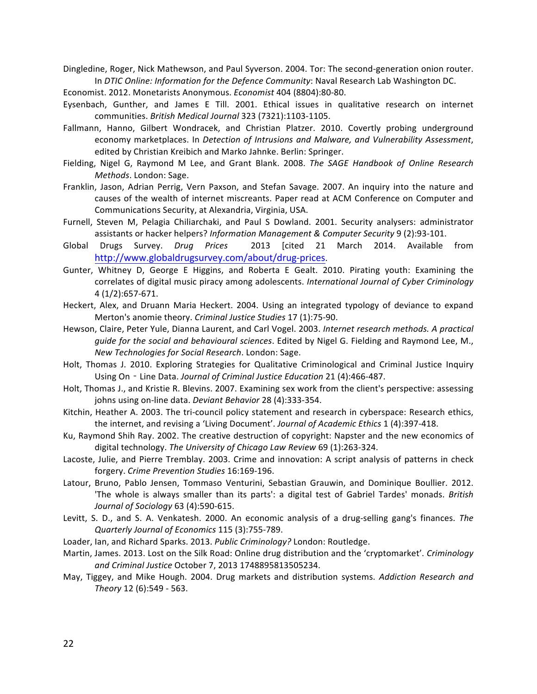Dingledine, Roger, Nick Mathewson, and Paul Syverson. 2004. Tor: The second-generation onion router. In *DTIC Online: Information for the Defence Community*: Naval Research Lab Washington DC.

Economist. 2012. Monetarists Anonymous. *Economist* 404 (8804):80-80.

- Eysenbach, Gunther, and James E Till. 2001. Ethical issues in qualitative research on internet communities. *British Medical Journal* 323 (7321):1103-1105.
- Fallmann, Hanno, Gilbert Wondracek, and Christian Platzer. 2010. Covertly probing underground economy marketplaces. In *Detection of Intrusions and Malware, and Vulnerability Assessment*, edited by Christian Kreibich and Marko Jahnke. Berlin: Springer.
- Fielding, Nigel G, Raymond M Lee, and Grant Blank. 2008. *The SAGE Handbook of Online Research Methods*. London: Sage.
- Franklin, Jason, Adrian Perrig, Vern Paxson, and Stefan Savage. 2007. An inquiry into the nature and causes of the wealth of internet miscreants. Paper read at ACM Conference on Computer and Communications Security, at Alexandria, Virginia, USA.
- Furnell, Steven M, Pelagia Chiliarchaki, and Paul S Dowland. 2001. Security analysers: administrator assistants or hacker helpers? Information Management & Computer Security 9 (2):93-101.
- Global Drugs Survey. *Drug Prices* 2013 [cited 21 March 2014. Available from http://www.globaldrugsurvey.com/about/drug-prices.
- Gunter, Whitney D, George E Higgins, and Roberta E Gealt. 2010. Pirating youth: Examining the correlates of digital music piracy among adolescents. International Journal of Cyber Criminology 4 (1/2):657-671.
- Heckert, Alex, and Druann Maria Heckert. 2004. Using an integrated typology of deviance to expand Merton's anomie theory. *Criminal Justice Studies* 17 (1):75-90.
- Hewson, Claire, Peter Yule, Dianna Laurent, and Carl Vogel. 2003. Internet research methods. A practical *guide for the social and behavioural sciences*. Edited by Nigel G. Fielding and Raymond Lee, M., *New Technologies for Social Research*. London: Sage.
- Holt, Thomas J. 2010. Exploring Strategies for Qualitative Criminological and Criminal Justice Inquiry Using On - Line Data. *Journal of Criminal Justice Education* 21 (4):466-487.
- Holt, Thomas J., and Kristie R. Blevins. 2007. Examining sex work from the client's perspective: assessing johns using on-line data. *Deviant Behavior* 28 (4):333-354.
- Kitchin, Heather A. 2003. The tri-council policy statement and research in cyberspace: Research ethics, the internet, and revising a 'Living Document'. Journal of Academic Ethics 1 (4):397-418.
- Ku, Raymond Shih Ray. 2002. The creative destruction of copyright: Napster and the new economics of digital technology. The University of Chicago Law Review 69 (1):263-324.
- Lacoste, Julie, and Pierre Tremblay. 2003. Crime and innovation: A script analysis of patterns in check forgery. *Crime Prevention Studies* 16:169-196.
- Latour, Bruno, Pablo Jensen, Tommaso Venturini, Sebastian Grauwin, and Dominique Boullier. 2012. 'The whole is always smaller than its parts': a digital test of Gabriel Tardes' monads. British *Journal of Sociology* 63 (4):590-615.
- Levitt, S. D., and S. A. Venkatesh. 2000. An economic analysis of a drug-selling gang's finances. The *Quarterly Journal of Economics* 115 (3):755-789.
- Loader, Ian, and Richard Sparks. 2013. Public Criminology? London: Routledge.
- Martin, James. 2013. Lost on the Silk Road: Online drug distribution and the 'cryptomarket'. *Criminology and Criminal Justice* October 7, 2013 1748895813505234.
- May, Tiggey, and Mike Hough. 2004. Drug markets and distribution systems. Addiction Research and *Theory* 12 (6):549 - 563.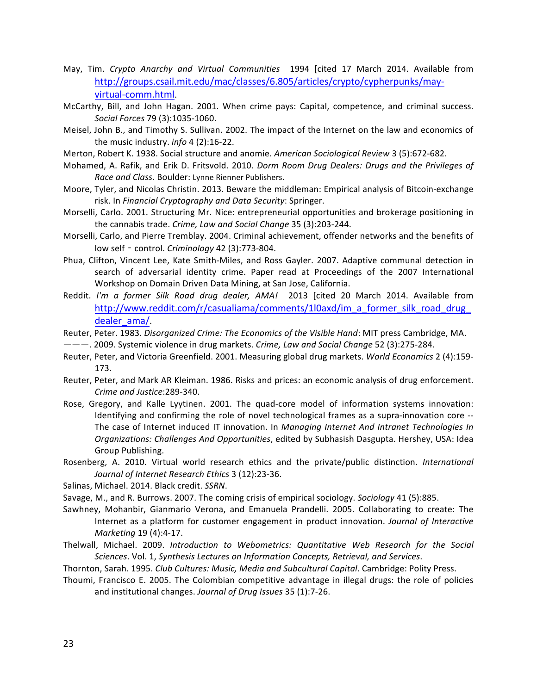- May, Tim. *Crypto Anarchy and Virtual Communities* 1994 [cited 17 March 2014. Available from http://groups.csail.mit.edu/mac/classes/6.805/articles/crypto/cypherpunks/mayvirtual-comm.html.
- McCarthy, Bill, and John Hagan. 2001. When crime pays: Capital, competence, and criminal success. *Social Forces* 79 (3):1035-1060.
- Meisel, John B., and Timothy S. Sullivan. 2002. The impact of the Internet on the law and economics of the music industry. *info* 4 (2):16-22.
- Merton, Robert K. 1938. Social structure and anomie. American Sociological Review 3 (5):672-682.
- Mohamed, A. Rafik, and Erik D. Fritsvold. 2010. *Dorm Room Drug Dealers: Drugs and the Privileges of Race and Class*. Boulder: Lynne Rienner Publishers.
- Moore, Tyler, and Nicolas Christin. 2013. Beware the middleman: Empirical analysis of Bitcoin-exchange risk. In *Financial Cryptography and Data Security*: Springer.
- Morselli, Carlo. 2001. Structuring Mr. Nice: entrepreneurial opportunities and brokerage positioning in the cannabis trade. *Crime, Law and Social Change* 35 (3):203-244.
- Morselli, Carlo, and Pierre Tremblay. 2004. Criminal achievement, offender networks and the benefits of low self - control. *Criminology* 42 (3):773-804.
- Phua, Clifton, Vincent Lee, Kate Smith-Miles, and Ross Gayler. 2007. Adaptive communal detection in search of adversarial identity crime. Paper read at Proceedings of the 2007 International Workshop on Domain Driven Data Mining, at San Jose, California.
- Reddit. *I'm a former Silk Road drug dealer, AMA!* 2013 [cited 20 March 2014. Available from http://www.reddit.com/r/casualiama/comments/1l0axd/im\_a\_former\_silk\_road\_drug\_ dealer\_ama/.
- Reuter, Peter. 1983. *Disorganized Crime: The Economics of the Visible Hand*: MIT press Cambridge, MA.
- ———. 2009. Systemic violence in drug markets. *Crime, Law and Social Change* 52 (3):275-284.
- Reuter, Peter, and Victoria Greenfield. 2001. Measuring global drug markets. World Economics 2 (4):159-173.
- Reuter, Peter, and Mark AR Kleiman. 1986. Risks and prices: an economic analysis of drug enforcement. *Crime and Justice*:289-340.
- Rose, Gregory, and Kalle Lyytinen. 2001. The quad-core model of information systems innovation: Identifying and confirming the role of novel technological frames as a supra-innovation core --The case of Internet induced IT innovation. In *Managing Internet And Intranet Technologies In Organizations: Challenges And Opportunities*, edited by Subhasish Dasgupta. Hershey, USA: Idea Group Publishing.
- Rosenberg, A. 2010. Virtual world research ethics and the private/public distinction. International *Journal of Internet Research Ethics* 3 (12):23-36.
- Salinas, Michael. 2014. Black credit. SSRN.
- Savage, M., and R. Burrows. 2007. The coming crisis of empirical sociology. *Sociology* 41 (5):885.
- Sawhney, Mohanbir, Gianmario Verona, and Emanuela Prandelli. 2005. Collaborating to create: The Internet as a platform for customer engagement in product innovation. *Journal of Interactive Marketing* 19 (4):4-17.
- Thelwall, Michael. 2009. *Introduction to Webometrics: Quantitative Web Research for the Social Sciences*. Vol. 1, *Synthesis Lectures on Information Concepts, Retrieval, and Services*.
- Thornton, Sarah. 1995. *Club Cultures: Music, Media and Subcultural Capital*. Cambridge: Polity Press.
- Thoumi, Francisco E. 2005. The Colombian competitive advantage in illegal drugs: the role of policies and institutional changes. *Journal of Drug Issues* 35 (1):7-26.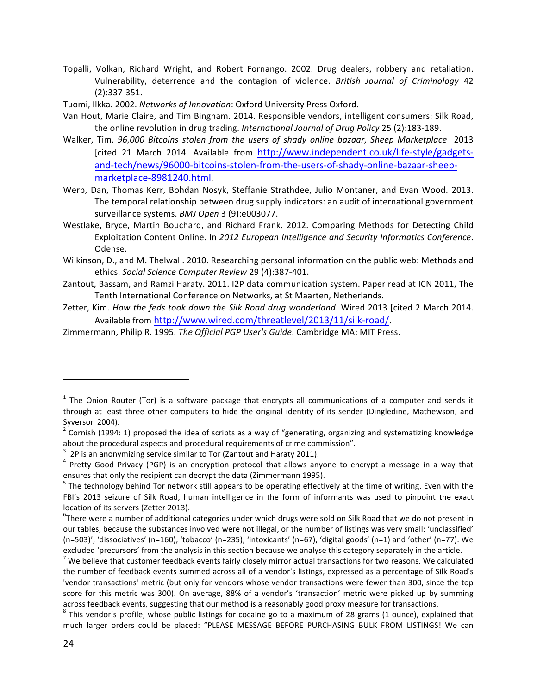- Topalli, Volkan, Richard Wright, and Robert Fornango. 2002. Drug dealers, robbery and retaliation. Vulnerability, deterrence and the contagion of violence. *British Journal of Criminology* 42 (2):337-351.
- Tuomi, Ilkka. 2002. *Networks of Innovation*: Oxford University Press Oxford.
- Van Hout, Marie Claire, and Tim Bingham. 2014. Responsible vendors, intelligent consumers: Silk Road, the online revolution in drug trading. *International Journal of Drug Policy* 25 (2):183-189.
- Walker, Tim. 96,000 Bitcoins stolen from the users of shady online bazaar, Sheep Marketplace 2013 [cited 21 March 2014. Available from http://www.independent.co.uk/life-style/gadgetsand-tech/news/96000-bitcoins-stolen-from-the-users-of-shady-online-bazaar-sheepmarketplace-8981240.html.
- Werb, Dan, Thomas Kerr, Bohdan Nosyk, Steffanie Strathdee, Julio Montaner, and Evan Wood. 2013. The temporal relationship between drug supply indicators: an audit of international government surveillance systems. *BMJ Open* 3 (9):e003077.
- Westlake, Bryce, Martin Bouchard, and Richard Frank. 2012. Comparing Methods for Detecting Child Exploitation Content Online. In 2012 European Intelligence and Security Informatics Conference. Odense.
- Wilkinson, D., and M. Thelwall. 2010. Researching personal information on the public web: Methods and ethics. *Social Science Computer Review* 29 (4):387-401.
- Zantout, Bassam, and Ramzi Haraty. 2011. I2P data communication system. Paper read at ICN 2011, The Tenth International Conference on Networks, at St Maarten, Netherlands.
- Zetter, Kim. How the feds took down the Silk Road drug wonderland. Wired 2013 [cited 2 March 2014. Available from http://www.wired.com/threatlevel/2013/11/silk-road/.
- Zimmermann, Philip R. 1995. The Official PGP User's Guide. Cambridge MA: MIT Press.

 

 $1$  The Onion Router (Tor) is a software package that encrypts all communications of a computer and sends it through at least three other computers to hide the original identity of its sender (Dingledine, Mathewson, and

Syverson 2004).<br><sup>2</sup> Cornish (1994: 1) proposed the idea of scripts as a way of "generating, organizing and systematizing knowledge about the procedural aspects and procedural requirements of crime commission".

 $3$  I2P is an anonymizing service similar to Tor (Zantout and Haraty 2011).<br>
<sup>4</sup> Pretty Good Privacy (PGP) is an encryption protocol that allows anyone to encrypt a message in a way that

ensures that only the recipient can decrypt the data (Zimmermann 1995).<br><sup>5</sup> The technology behind Tor network still appears to be operating effectively at the time of writing. Even with the FBI's 2013 seizure of Silk Road, human intelligence in the form of informants was used to pinpoint the exact location of its servers (Zetter 2013).

 $\rm{^6}$ There were a number of additional categories under which drugs were sold on Silk Road that we do not present in our tables, because the substances involved were not illegal, or the number of listings was very small: 'unclassified' (n=503)', 'dissociatives' (n=160), 'tobacco' (n=235), 'intoxicants' (n=67), 'digital goods' (n=1) and 'other' (n=77). We excluded 'precursors' from the analysis in this section because we analyse this category separately in the article.<br><sup>7</sup> We believe that customer feedback events fairly closely mirror actual transactions for two reasons. W

the number of feedback events summed across all of a vendor's listings, expressed as a percentage of Silk Road's 'vendor transactions' metric (but only for vendors whose vendor transactions were fewer than 300, since the top score for this metric was 300). On average, 88% of a vendor's 'transaction' metric were picked up by summing across feedback events, suggesting that our method is a reasonably good proxy measure for transactions.<br><sup>8</sup> This vendor's profile, whose public listings for cocaine go to a maximum of 28 grams (1 ounce), explained that

much larger orders could be placed: "PLEASE MESSAGE BEFORE PURCHASING BULK FROM LISTINGS! We can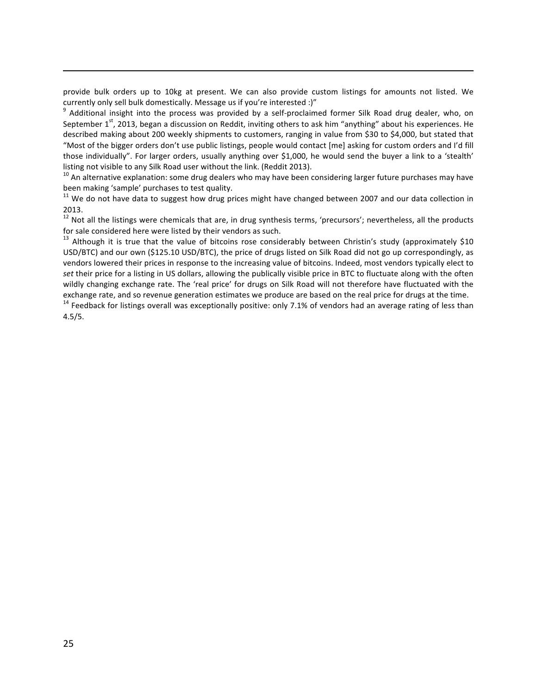provide bulk orders up to 10kg at present. We can also provide custom listings for amounts not listed. We currently only sell bulk domestically. Message us if you're interested :)"

<u> 1989 - Jan Salaman, masjid a shekarar 1989 - André Salaman a shekara ta 1989 - André Salaman a shekara ta 19</u>

 $9$  Additional insight into the process was provided by a self-proclaimed former Silk Road drug dealer, who, on September  $1<sup>st</sup>$ , 2013, began a discussion on Reddit, inviting others to ask him "anything" about his experiences. He described making about 200 weekly shipments to customers, ranging in value from \$30 to \$4,000, but stated that "Most of the bigger orders don't use public listings, people would contact [me] asking for custom orders and I'd fill those individually". For larger orders, usually anything over \$1,000, he would send the buyer a link to a 'stealth' listing not visible to any Silk Road user without the link. (Reddit 2013).<br><sup>10</sup> An alternative explanation: some drug dealers who may have been considering larger future purchases may have

been making 'sample' purchases to test quality.

 $11$  We do not have data to suggest how drug prices might have changed between 2007 and our data collection in 2013.

 $12$  Not all the listings were chemicals that are, in drug synthesis terms, 'precursors'; nevertheless, all the products for sale considered here were listed by their vendors as such.

 $13$  Although it is true that the value of bitcoins rose considerably between Christin's study (approximately \$10 USD/BTC) and our own (\$125.10 USD/BTC), the price of drugs listed on Silk Road did not go up correspondingly, as vendors lowered their prices in response to the increasing value of bitcoins. Indeed, most vendors typically elect to set their price for a listing in US dollars, allowing the publically visible price in BTC to fluctuate along with the often wildly changing exchange rate. The 'real price' for drugs on Silk Road will not therefore have fluctuated with the exchange rate, and so revenue generation estimates we produce are based on the real price for drugs at the time.

 $14$  Feedback for listings overall was exceptionally positive: only 7.1% of vendors had an average rating of less than 4.5/5.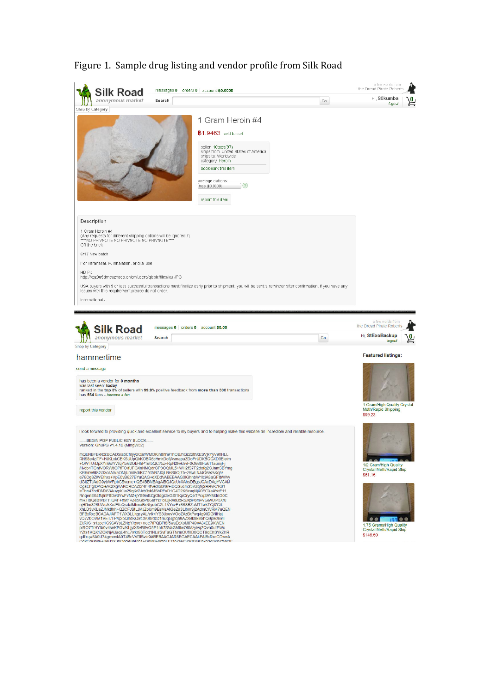

# Figure 1. Sample drug listing and vendor profile from Silk Road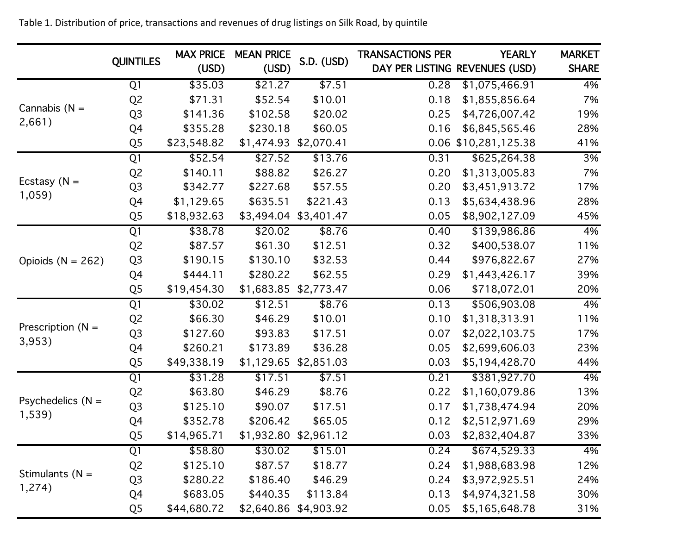Table 1. Distribution of price, transactions and revenues of drug listings on Silk Road, by quintile

|                               |                  | <b>MAX PRICE</b> | <b>MEAN PRICE</b> |                       | <b>TRANSACTIONS PER</b> | <b>YEARLY</b>                  | <b>MARKET</b> |
|-------------------------------|------------------|------------------|-------------------|-----------------------|-------------------------|--------------------------------|---------------|
|                               | <b>QUINTILES</b> | (USD)            | (USD)             | <b>S.D. (USD)</b>     |                         | DAY PER LISTING REVENUES (USD) | <b>SHARE</b>  |
| Cannabis $(N =$<br>2,661)     | Q1               | \$35.03          | \$21.27           | \$7.51                | 0.28                    | \$1,075,466.91                 | 4%            |
|                               | Q <sub>2</sub>   | \$71.31          | \$52.54           | \$10.01               | 0.18                    | \$1,855,856.64                 | 7%            |
|                               | Q <sub>3</sub>   | \$141.36         | \$102.58          | \$20.02               | 0.25                    | \$4,726,007.42                 | 19%           |
|                               | Q4               | \$355.28         | \$230.18          | \$60.05               | 0.16                    | \$6,845,565.46                 | 28%           |
|                               | Q <sub>5</sub>   | \$23,548.82      |                   | \$1,474.93 \$2,070.41 |                         | 0.06 \$10,281,125.38           | 41%           |
| Ecstasy $(N =$<br>1,059)      | Q1               | \$52.54          | \$27.52           | \$13.76               | 0.31                    | \$625,264.38                   | 3%            |
|                               | Q <sub>2</sub>   | \$140.11         | \$88.82           | \$26.27               | 0.20                    | \$1,313,005.83                 | 7%            |
|                               | Q <sub>3</sub>   | \$342.77         | \$227.68          | \$57.55               | 0.20                    | \$3,451,913.72                 | 17%           |
|                               | Q4               | \$1,129.65       | \$635.51          | \$221.43              | 0.13                    | \$5,634,438.96                 | 28%           |
|                               | Q <sub>5</sub>   | \$18,932.63      |                   | \$3,494.04 \$3,401.47 | 0.05                    | \$8,902,127.09                 | 45%           |
| Opioids $(N = 262)$           | $\overline{Q1}$  | \$38.78          | \$20.02           | \$8.76                | 0.40                    | \$139,986.86                   | 4%            |
|                               | Q <sub>2</sub>   | \$87.57          | \$61.30           | \$12.51               | 0.32                    | \$400,538.07                   | 11%           |
|                               | Q <sub>3</sub>   | \$190.15         | \$130.10          | \$32.53               | 0.44                    | \$976,822.67                   | 27%           |
|                               | Q4               | \$444.11         | \$280.22          | \$62.55               | 0.29                    | \$1,443,426.17                 | 39%           |
|                               | Q <sub>5</sub>   | \$19,454.30      |                   | \$1,683.85 \$2,773.47 | 0.06                    | \$718,072.01                   | 20%           |
|                               | $\overline{Q}$ 1 | \$30.02          | \$12.51           | \$8.76                | 0.13                    | \$506,903.08                   | 4%            |
|                               | Q <sub>2</sub>   | \$66.30          | \$46.29           | \$10.01               | 0.10                    | \$1,318,313.91                 | 11%           |
| Prescription $(N =$<br>3,953) | Q <sub>3</sub>   | \$127.60         | \$93.83           | \$17.51               | 0.07                    | \$2,022,103.75                 | 17%           |
|                               | Q4               | \$260.21         | \$173.89          | \$36.28               | 0.05                    | \$2,699,606.03                 | 23%           |
|                               | Q <sub>5</sub>   | \$49,338.19      |                   | \$1,129.65 \$2,851.03 | 0.03                    | \$5,194,428.70                 | 44%           |
|                               | Q1               | \$31.28          | \$17.51           | \$7.51                | 0.21                    | \$381,927.70                   | 4%            |
|                               | Q <sub>2</sub>   | \$63.80          | \$46.29           | \$8.76                | 0.22                    | \$1,160,079.86                 | 13%           |
| Psychedelics $(N =$<br>1,539) | Q <sub>3</sub>   | \$125.10         | \$90.07           | \$17.51               | 0.17                    | \$1,738,474.94                 | 20%           |
|                               | Q4               | \$352.78         | \$206.42          | \$65.05               | 0.12                    | \$2,512,971.69                 | 29%           |
|                               | Q <sub>5</sub>   | \$14,965.71      |                   | \$1,932.80 \$2,961.12 | 0.03                    | \$2,832,404.87                 | 33%           |
| Stimulants ( $N =$<br>1,274)  | Q <sub>1</sub>   | \$58.80          | \$30.02           | \$15.01               | 0.24                    | \$674,529.33                   | $4\%$         |
|                               | Q <sub>2</sub>   | \$125.10         | \$87.57           | \$18.77               | 0.24                    | \$1,988,683.98                 | 12%           |
|                               | Q <sub>3</sub>   | \$280.22         | \$186.40          | \$46.29               | 0.24                    | \$3,972,925.51                 | 24%           |
|                               | Q4               | \$683.05         | \$440.35          | \$113.84              | 0.13                    | \$4,974,321.58                 | 30%           |
|                               | Q <sub>5</sub>   | \$44,680.72      |                   | \$2,640.86 \$4,903.92 | 0.05                    | \$5,165,648.78                 | 31%           |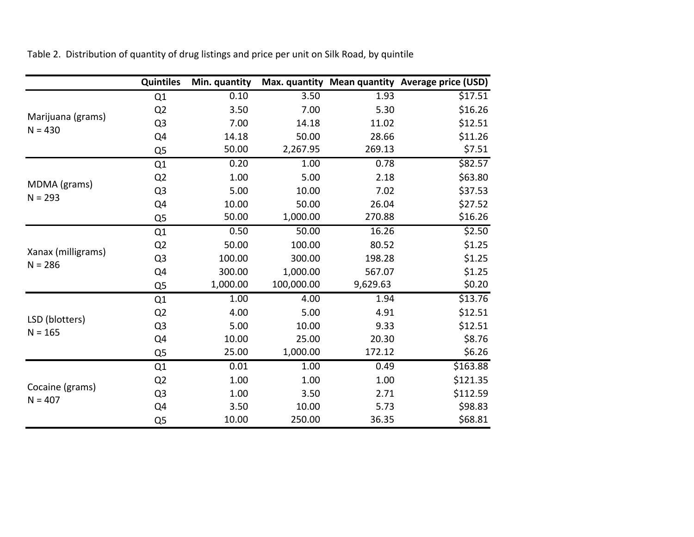|                                 | <b>Quintiles</b> | Min. quantity |            |          | Max. quantity Mean quantity Average price (USD) |
|---------------------------------|------------------|---------------|------------|----------|-------------------------------------------------|
|                                 | Q1               | 0.10          | 3.50       | 1.93     | \$17.51                                         |
|                                 | Q <sub>2</sub>   | 3.50          | 7.00       | 5.30     | \$16.26                                         |
| Marijuana (grams)               | Q <sub>3</sub>   | 7.00          | 14.18      | 11.02    | \$12.51                                         |
| $N = 430$                       | Q4               | 14.18         | 50.00      | 28.66    | \$11.26                                         |
|                                 | Q <sub>5</sub>   | 50.00         | 2,267.95   | 269.13   | \$7.51                                          |
|                                 | Q1               | 0.20          | 1.00       | 0.78     | \$82.57                                         |
|                                 | Q <sub>2</sub>   | 1.00          | 5.00       | 2.18     | \$63.80                                         |
| MDMA (grams)<br>$N = 293$       | Q <sub>3</sub>   | 5.00          | 10.00      | 7.02     | \$37.53                                         |
|                                 | Q4               | 10.00         | 50.00      | 26.04    | \$27.52                                         |
|                                 | Q <sub>5</sub>   | 50.00         | 1,000.00   | 270.88   | \$16.26                                         |
|                                 | Q1               | 0.50          | 50.00      | 16.26    | \$2.50                                          |
|                                 | Q <sub>2</sub>   | 50.00         | 100.00     | 80.52    | \$1.25                                          |
| Xanax (milligrams)<br>$N = 286$ | Q <sub>3</sub>   | 100.00        | 300.00     | 198.28   | \$1.25                                          |
|                                 | Q4               | 300.00        | 1,000.00   | 567.07   | \$1.25                                          |
|                                 | Q <sub>5</sub>   | 1,000.00      | 100,000.00 | 9,629.63 | \$0.20                                          |
|                                 | Q1               | 1.00          | 4.00       | 1.94     | \$13.76                                         |
|                                 | Q <sub>2</sub>   | 4.00          | 5.00       | 4.91     | \$12.51                                         |
| LSD (blotters)<br>$N = 165$     | Q <sub>3</sub>   | 5.00          | 10.00      | 9.33     | \$12.51                                         |
|                                 | Q4               | 10.00         | 25.00      | 20.30    | \$8.76                                          |
|                                 | Q <sub>5</sub>   | 25.00         | 1,000.00   | 172.12   | \$6.26                                          |
|                                 | Q1               | 0.01          | 1.00       | 0.49     | \$163.88                                        |
|                                 | Q <sub>2</sub>   | 1.00          | 1.00       | 1.00     | \$121.35                                        |
| Cocaine (grams)                 | Q <sub>3</sub>   | 1.00          | 3.50       | 2.71     | \$112.59                                        |
| $N = 407$                       | Q4               | 3.50          | 10.00      | 5.73     | \$98.83                                         |
|                                 | Q <sub>5</sub>   | 10.00         | 250.00     | 36.35    | \$68.81                                         |

Table 2. Distribution of quantity of drug listings and price per unit on Silk Road, by quintile